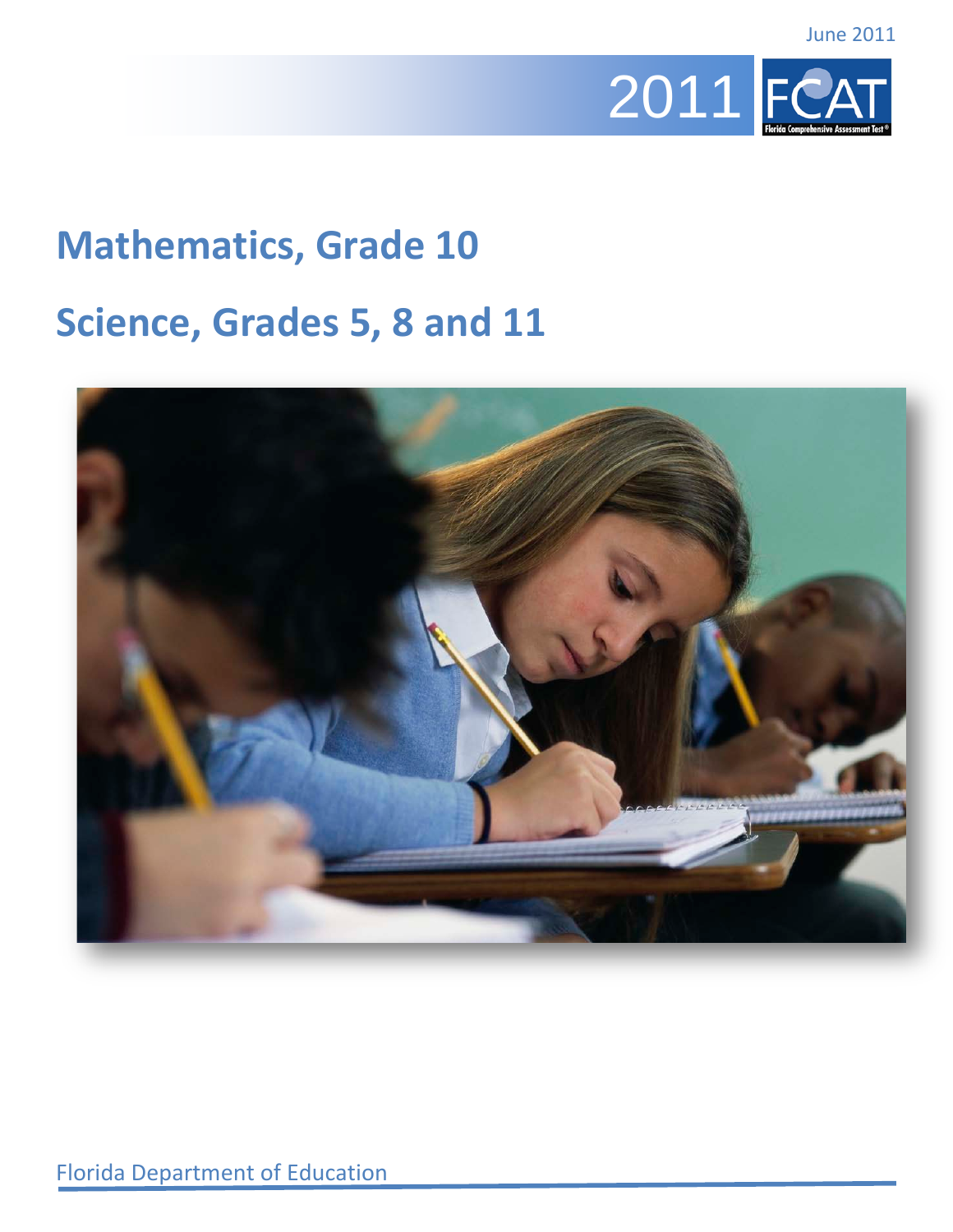

## **Mathematics, Grade 10**

## **Science, Grades 5, 8 and 11**

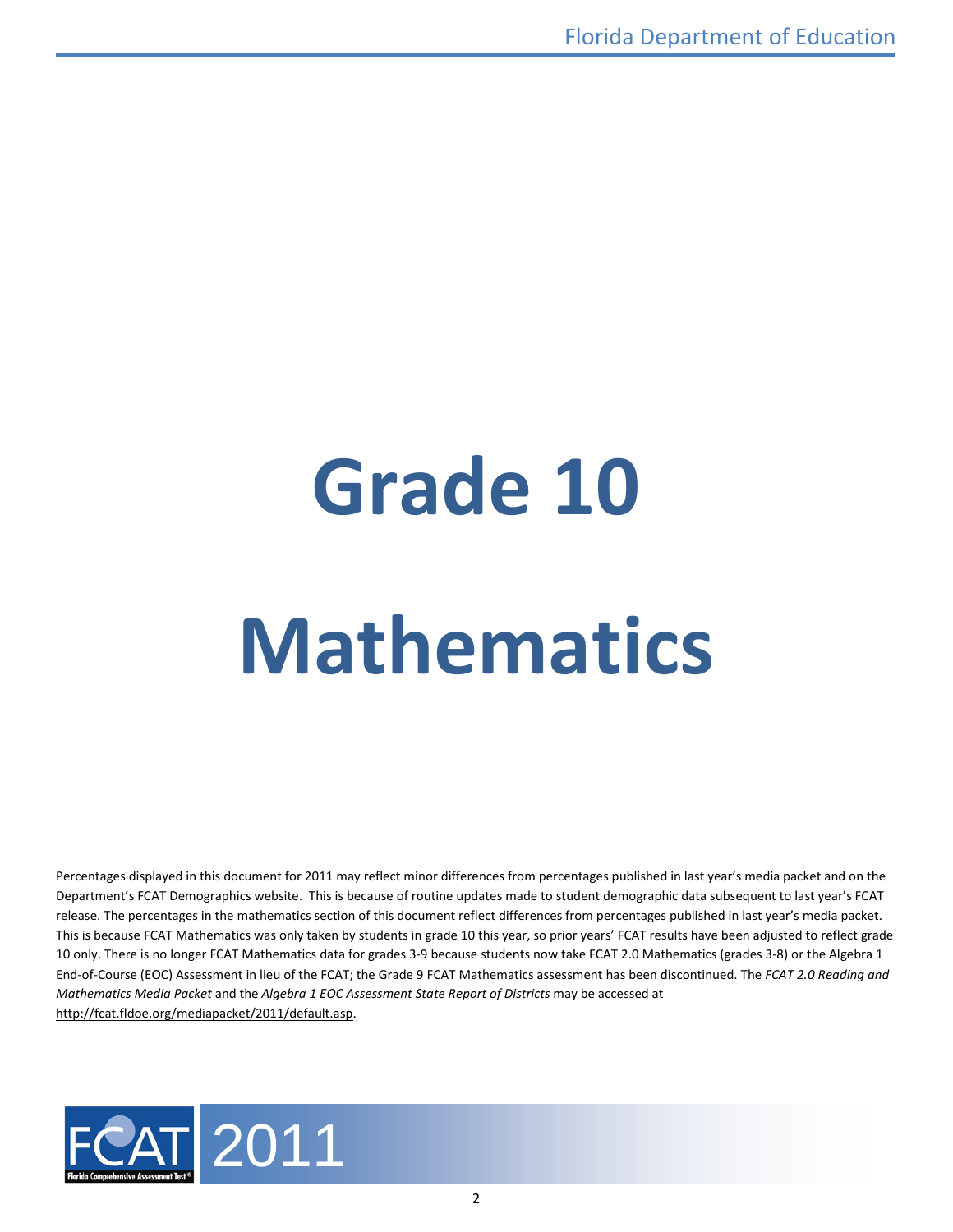# **Grade 10 Mathematics**

Percentages displayed in this document for 2011 may reflect minor differences from percentages published in last year's media packet and on the Department's FCAT Demographics website. This is because of routine updates made to student demographic data subsequent to last year's FCAT release. The percentages in the mathematics section of this document reflect differences from percentages published in last year's media packet. This is because FCAT Mathematics was only taken by students in grade 10 this year, so prior years' FCAT results have been adjusted to reflect grade 10 only. There is no longer FCAT Mathematics data for grades 3-9 because students now take FCAT 2.0 Mathematics (grades 3-8) or the Algebra 1 End-of-Course (EOC) Assessment in lieu of the FCAT; the Grade 9 FCAT Mathematics assessment has been discontinued. The *FCAT 2.0 Reading and Mathematics Media Packet* and the *Algebra 1 EOC Assessment State Report of Districts* may be accessed at [http://fcat.fldoe.org/mediapacket/2011/default.asp.](http://fcat.fldoe.org/mediapacket/2011/default.asp)

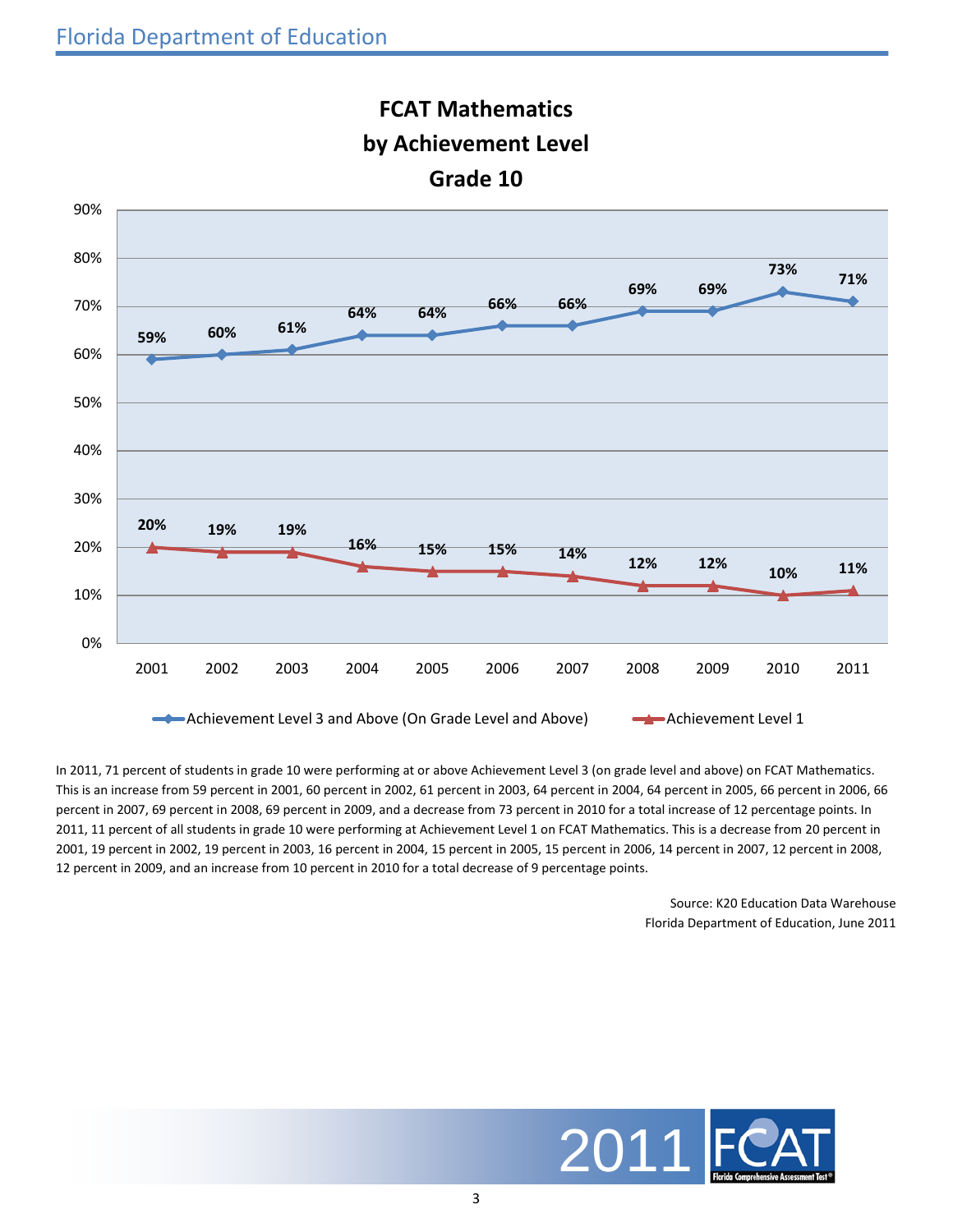

## **FCAT Mathematics by Achievement Level Grade 10**

In 2011, 71 percent of students in grade 10 were performing at or above Achievement Level 3 (on grade level and above) on FCAT Mathematics. This is an increase from 59 percent in 2001, 60 percent in 2002, 61 percent in 2003, 64 percent in 2004, 64 percent in 2005, 66 percent in 2006, 66 percent in 2007, 69 percent in 2008, 69 percent in 2009, and a decrease from 73 percent in 2010 for a total increase of 12 percentage points. In 2011, 11 percent of all students in grade 10 were performing at Achievement Level 1 on FCAT Mathematics. This is a decrease from 20 percent in 2001, 19 percent in 2002, 19 percent in 2003, 16 percent in 2004, 15 percent in 2005, 15 percent in 2006, 14 percent in 2007, 12 percent in 2008, 12 percent in 2009, and an increase from 10 percent in 2010 for a total decrease of 9 percentage points.

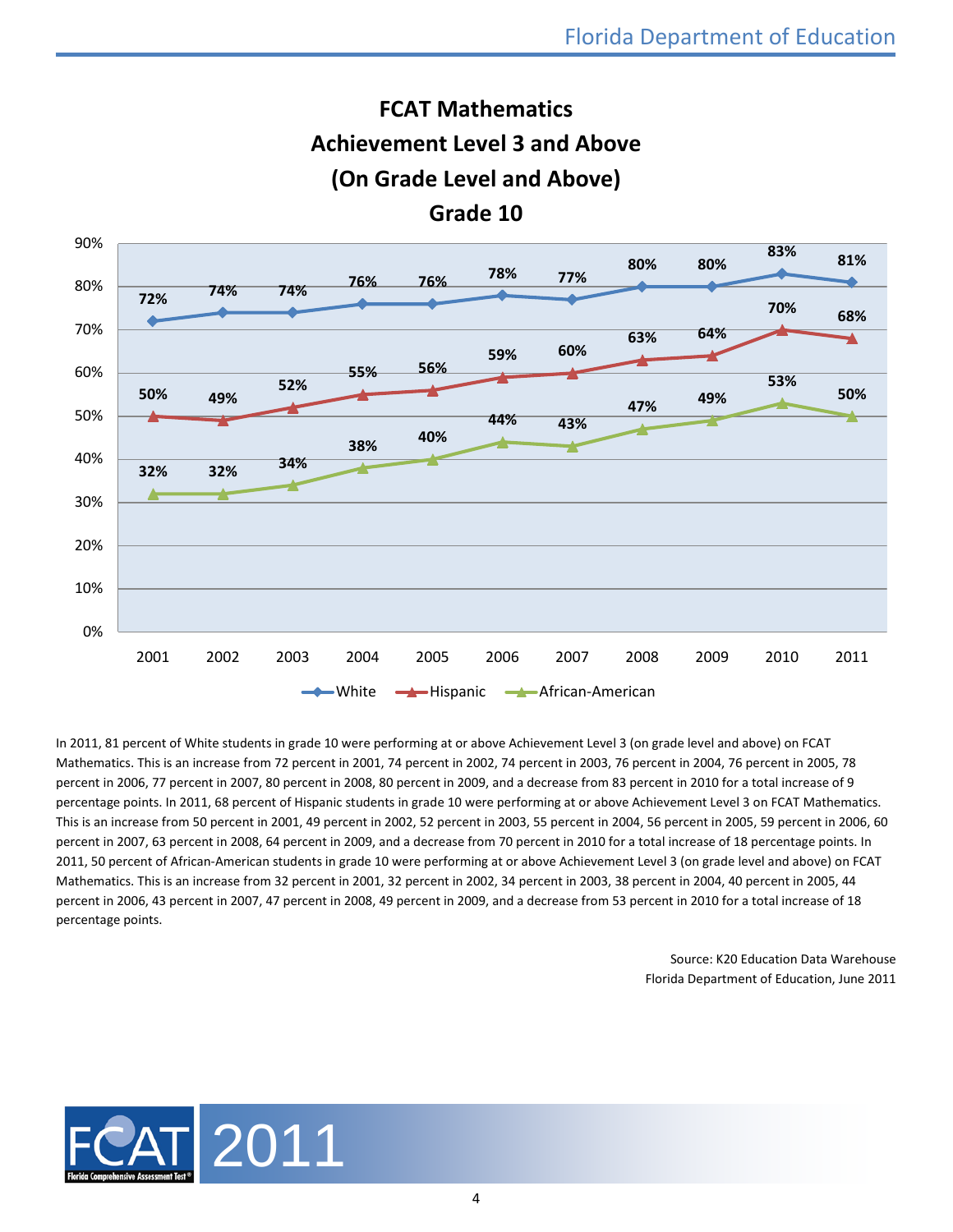

**FCAT Mathematics**

In 2011, 81 percent of White students in grade 10 were performing at or above Achievement Level 3 (on grade level and above) on FCAT Mathematics. This is an increase from 72 percent in 2001, 74 percent in 2002, 74 percent in 2003, 76 percent in 2004, 76 percent in 2005, 78 percent in 2006, 77 percent in 2007, 80 percent in 2008, 80 percent in 2009, and a decrease from 83 percent in 2010 for a total increase of 9 percentage points. In 2011, 68 percent of Hispanic students in grade 10 were performing at or above Achievement Level 3 on FCAT Mathematics. This is an increase from 50 percent in 2001, 49 percent in 2002, 52 percent in 2003, 55 percent in 2004, 56 percent in 2005, 59 percent in 2006, 60 percent in 2007, 63 percent in 2008, 64 percent in 2009, and a decrease from 70 percent in 2010 for a total increase of 18 percentage points. In 2011, 50 percent of African-American students in grade 10 were performing at or above Achievement Level 3 (on grade level and above) on FCAT Mathematics. This is an increase from 32 percent in 2001, 32 percent in 2002, 34 percent in 2003, 38 percent in 2004, 40 percent in 2005, 44 percent in 2006, 43 percent in 2007, 47 percent in 2008, 49 percent in 2009, and a decrease from 53 percent in 2010 for a total increase of 18 percentage points.

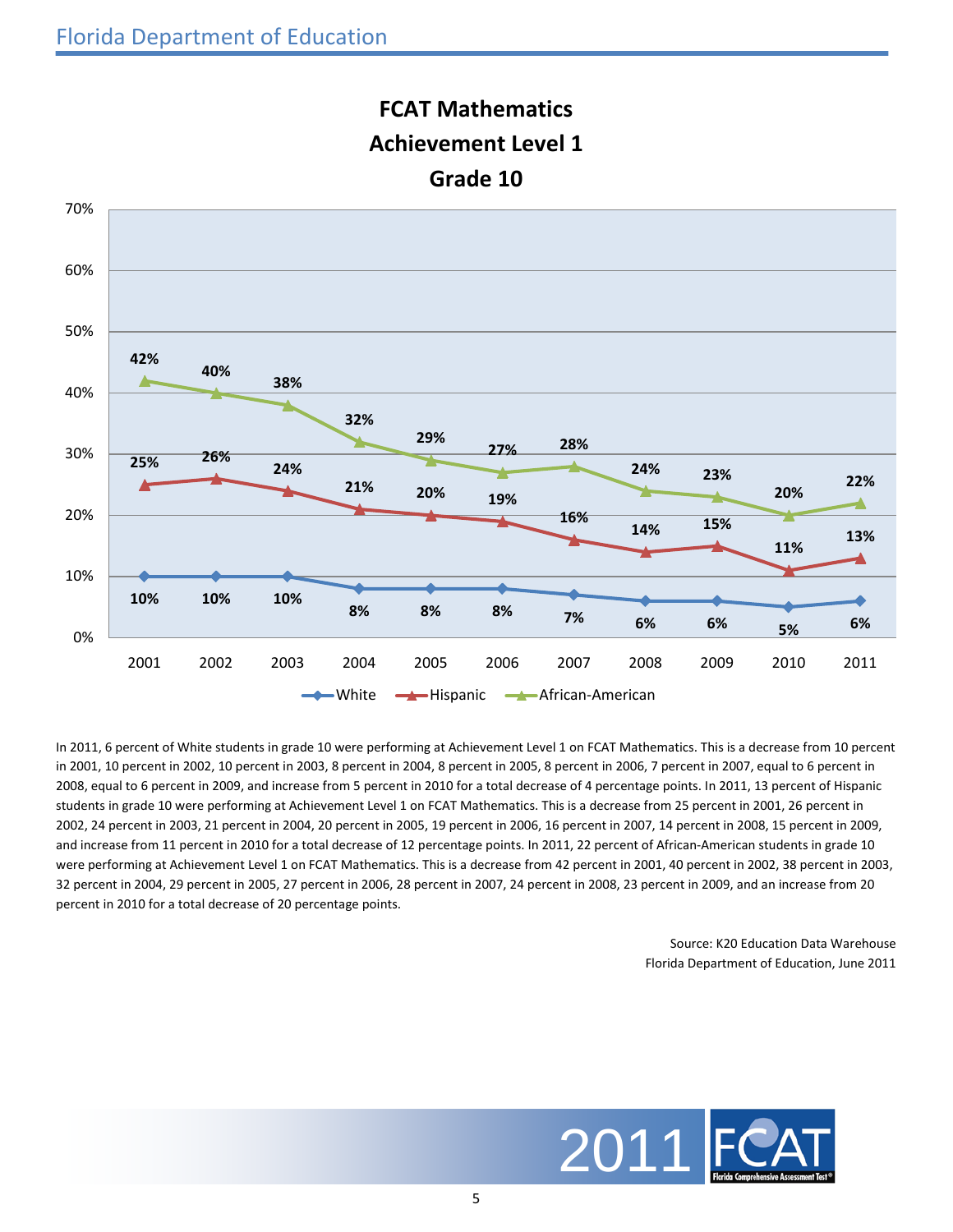

## **FCAT Mathematics Achievement Level 1**

In 2011, 6 percent of White students in grade 10 were performing at Achievement Level 1 on FCAT Mathematics. This is a decrease from 10 percent in 2001, 10 percent in 2002, 10 percent in 2003, 8 percent in 2004, 8 percent in 2005, 8 percent in 2006, 7 percent in 2007, equal to 6 percent in 2008, equal to 6 percent in 2009, and increase from 5 percent in 2010 for a total decrease of 4 percentage points. In 2011, 13 percent of Hispanic students in grade 10 were performing at Achievement Level 1 on FCAT Mathematics. This is a decrease from 25 percent in 2001, 26 percent in 2002, 24 percent in 2003, 21 percent in 2004, 20 percent in 2005, 19 percent in 2006, 16 percent in 2007, 14 percent in 2008, 15 percent in 2009, and increase from 11 percent in 2010 for a total decrease of 12 percentage points. In 2011, 22 percent of African-American students in grade 10 were performing at Achievement Level 1 on FCAT Mathematics. This is a decrease from 42 percent in 2001, 40 percent in 2002, 38 percent in 2003, 32 percent in 2004, 29 percent in 2005, 27 percent in 2006, 28 percent in 2007, 24 percent in 2008, 23 percent in 2009, and an increase from 20 percent in 2010 for a total decrease of 20 percentage points.

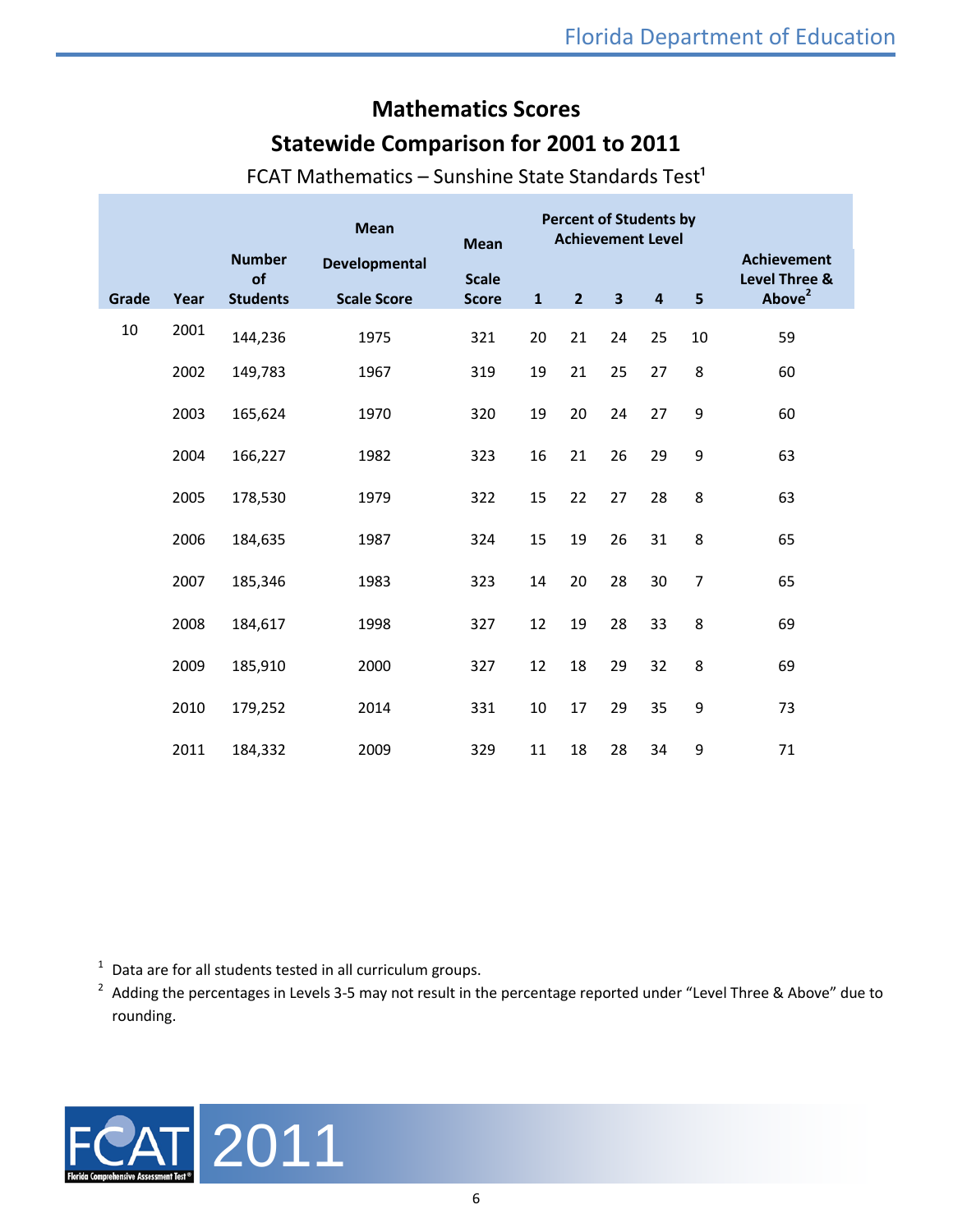## **Mathematics Scores**

#### **Statewide Comparison for 2001 to 2011**

|       |      |                                        | <b>Mean</b>                         | <b>Mean</b>                  |              | <b>Percent of Students by</b><br><b>Achievement Level</b> |                         |                         |                |                                                           |
|-------|------|----------------------------------------|-------------------------------------|------------------------------|--------------|-----------------------------------------------------------|-------------------------|-------------------------|----------------|-----------------------------------------------------------|
| Grade | Year | <b>Number</b><br>of<br><b>Students</b> | Developmental<br><b>Scale Score</b> | <b>Scale</b><br><b>Score</b> | $\mathbf{1}$ | 2 <sup>2</sup>                                            | $\overline{\mathbf{3}}$ | $\overline{\mathbf{4}}$ | 5              | <b>Achievement</b><br>Level Three &<br>Above <sup>2</sup> |
| 10    | 2001 | 144,236                                | 1975                                | 321                          | 20           | 21                                                        | 24                      | 25                      | 10             | 59                                                        |
|       | 2002 | 149,783                                | 1967                                | 319                          | 19           | 21                                                        | 25                      | 27                      | 8              | 60                                                        |
|       | 2003 | 165,624                                | 1970                                | 320                          | 19           | 20                                                        | 24                      | 27                      | 9              | 60                                                        |
|       | 2004 | 166,227                                | 1982                                | 323                          | 16           | 21                                                        | 26                      | 29                      | 9              | 63                                                        |
|       | 2005 | 178,530                                | 1979                                | 322                          | 15           | 22                                                        | 27                      | 28                      | 8              | 63                                                        |
|       | 2006 | 184,635                                | 1987                                | 324                          | 15           | 19                                                        | 26                      | 31                      | 8              | 65                                                        |
|       | 2007 | 185,346                                | 1983                                | 323                          | 14           | 20                                                        | 28                      | 30                      | $\overline{7}$ | 65                                                        |
|       | 2008 | 184,617                                | 1998                                | 327                          | 12           | 19                                                        | 28                      | 33                      | 8              | 69                                                        |
|       | 2009 | 185,910                                | 2000                                | 327                          | 12           | 18                                                        | 29                      | 32                      | 8              | 69                                                        |
|       | 2010 | 179,252                                | 2014                                | 331                          | $10\,$       | 17                                                        | 29                      | 35                      | 9              | 73                                                        |
|       | 2011 | 184,332                                | 2009                                | 329                          | 11           | 18                                                        | 28                      | 34                      | 9              | 71                                                        |

FCAT Mathematics – Sunshine State Standards Test<sup>1</sup>

 $1$  Data are for all students tested in all curriculum groups.

 $2$  Adding the percentages in Levels 3-5 may not result in the percentage reported under "Level Three & Above" due to rounding.

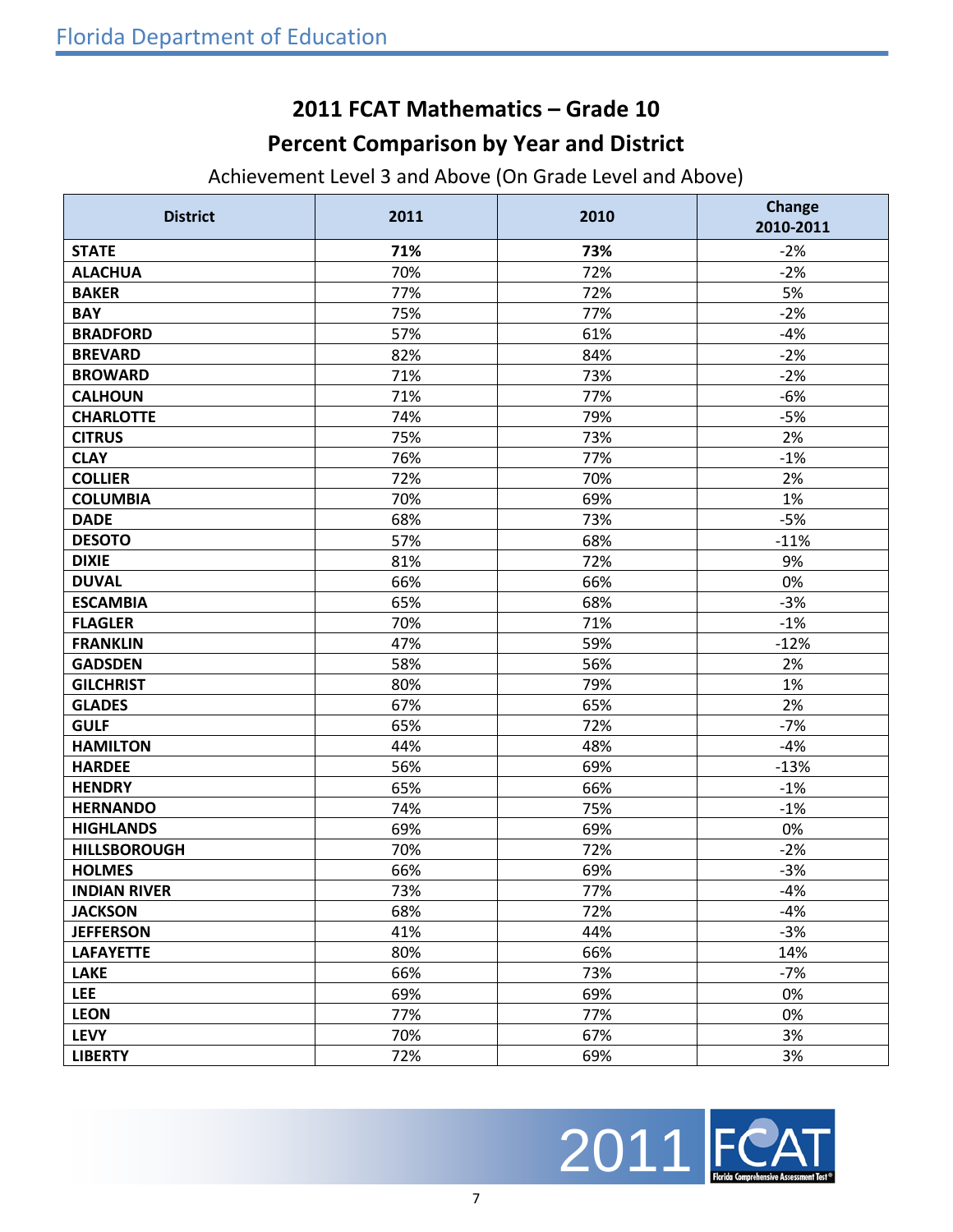#### **2011 FCAT Mathematics – Grade 10**

## **Percent Comparison by Year and District**

Achievement Level 3 and Above (On Grade Level and Above)

| <b>District</b>     | 2011 | 2010 | Change<br>2010-2011 |
|---------------------|------|------|---------------------|
| <b>STATE</b>        | 71%  | 73%  | $-2%$               |
| <b>ALACHUA</b>      | 70%  | 72%  | $-2%$               |
| <b>BAKER</b>        | 77%  | 72%  | 5%                  |
| <b>BAY</b>          | 75%  | 77%  | $-2%$               |
| <b>BRADFORD</b>     | 57%  | 61%  | $-4%$               |
| <b>BREVARD</b>      | 82%  | 84%  | $-2%$               |
| <b>BROWARD</b>      | 71%  | 73%  | $-2%$               |
| <b>CALHOUN</b>      | 71%  | 77%  | $-6%$               |
| <b>CHARLOTTE</b>    | 74%  | 79%  | $-5%$               |
| <b>CITRUS</b>       | 75%  | 73%  | 2%                  |
| <b>CLAY</b>         | 76%  | 77%  | $-1%$               |
| <b>COLLIER</b>      | 72%  | 70%  | 2%                  |
| <b>COLUMBIA</b>     | 70%  | 69%  | 1%                  |
| <b>DADE</b>         | 68%  | 73%  | $-5%$               |
| <b>DESOTO</b>       | 57%  | 68%  | $-11%$              |
| <b>DIXIE</b>        | 81%  | 72%  | 9%                  |
| <b>DUVAL</b>        | 66%  | 66%  | 0%                  |
| <b>ESCAMBIA</b>     | 65%  | 68%  | $-3%$               |
| <b>FLAGLER</b>      | 70%  | 71%  | $-1%$               |
| <b>FRANKLIN</b>     | 47%  | 59%  | $-12%$              |
| <b>GADSDEN</b>      | 58%  | 56%  | 2%                  |
| <b>GILCHRIST</b>    | 80%  | 79%  | 1%                  |
| <b>GLADES</b>       | 67%  | 65%  | 2%                  |
| <b>GULF</b>         | 65%  | 72%  | $-7%$               |
| <b>HAMILTON</b>     | 44%  | 48%  | $-4%$               |
| <b>HARDEE</b>       | 56%  | 69%  | $-13%$              |
| <b>HENDRY</b>       | 65%  | 66%  | $-1%$               |
| <b>HERNANDO</b>     | 74%  | 75%  | $-1%$               |
| <b>HIGHLANDS</b>    | 69%  | 69%  | 0%                  |
| <b>HILLSBOROUGH</b> | 70%  | 72%  | $-2%$               |
| <b>HOLMES</b>       | 66%  | 69%  | $-3%$               |
| <b>INDIAN RIVER</b> | 73%  | 77%  | $-4%$               |
| <b>JACKSON</b>      | 68%  | 72%  | $-4%$               |
| <b>JEFFERSON</b>    | 41%  | 44%  | $-3%$               |
| <b>LAFAYETTE</b>    | 80%  | 66%  | 14%                 |
| <b>LAKE</b>         | 66%  | 73%  | $-7%$               |
| <b>LEE</b>          | 69%  | 69%  | 0%                  |
| <b>LEON</b>         | 77%  | 77%  | 0%                  |
| <b>LEVY</b>         | 70%  | 67%  | 3%                  |
| <b>LIBERTY</b>      | 72%  | 69%  | 3%                  |

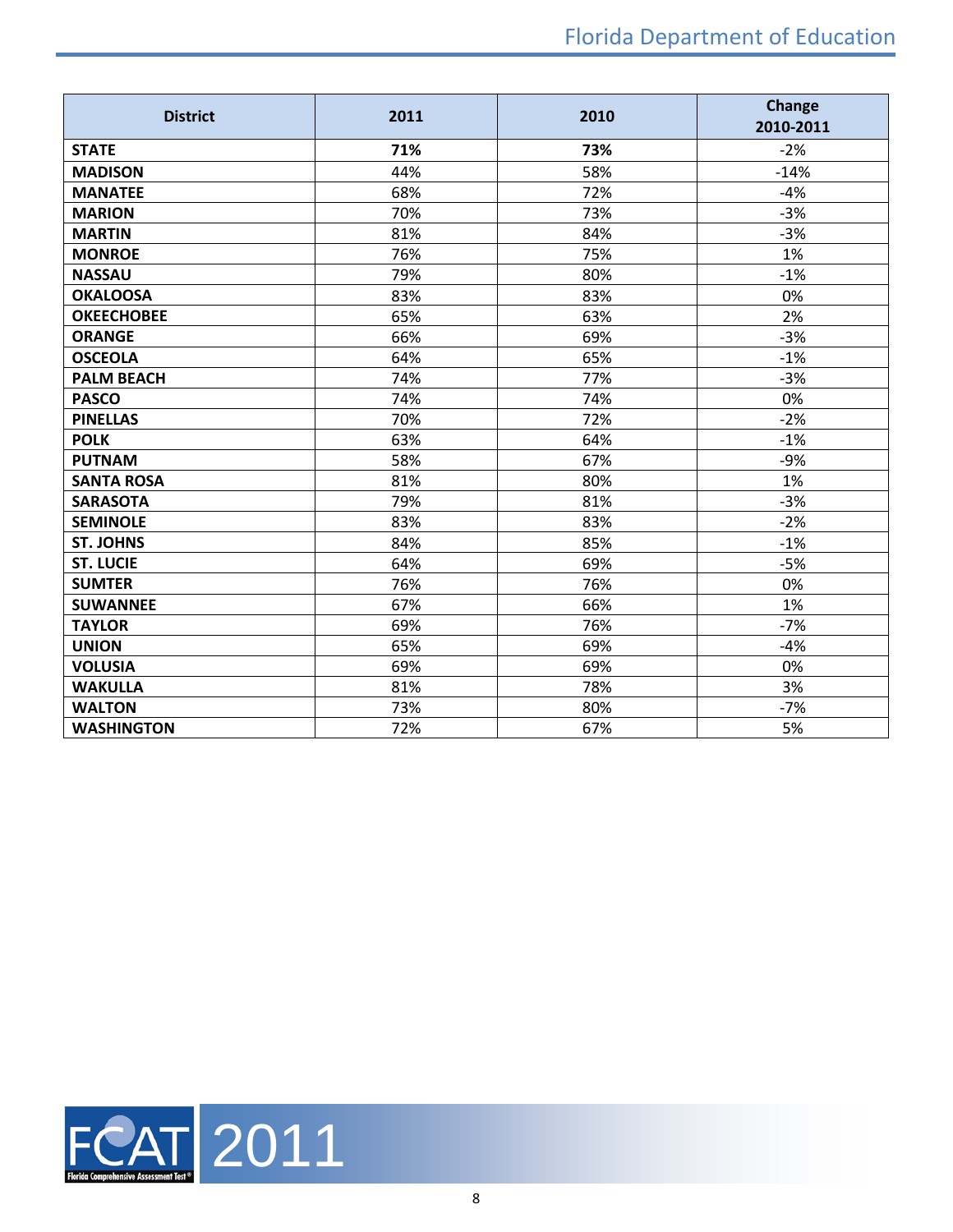| <b>District</b>   | 2011 | 2010 | <b>Change</b><br>2010-2011 |
|-------------------|------|------|----------------------------|
| <b>STATE</b>      | 71%  | 73%  | $-2%$                      |
| <b>MADISON</b>    | 44%  | 58%  | $-14%$                     |
| <b>MANATEE</b>    | 68%  | 72%  | $-4%$                      |
| <b>MARION</b>     | 70%  | 73%  | $-3%$                      |
| <b>MARTIN</b>     | 81%  | 84%  | $-3%$                      |
| <b>MONROE</b>     | 76%  | 75%  | 1%                         |
| <b>NASSAU</b>     | 79%  | 80%  | $-1%$                      |
| <b>OKALOOSA</b>   | 83%  | 83%  | 0%                         |
| <b>OKEECHOBEE</b> | 65%  | 63%  | 2%                         |
| <b>ORANGE</b>     | 66%  | 69%  | $-3%$                      |
| <b>OSCEOLA</b>    | 64%  | 65%  | $-1%$                      |
| <b>PALM BEACH</b> | 74%  | 77%  | $-3%$                      |
| <b>PASCO</b>      | 74%  | 74%  | 0%                         |
| <b>PINELLAS</b>   | 70%  | 72%  | $-2%$                      |
| <b>POLK</b>       | 63%  | 64%  | $-1%$                      |
| <b>PUTNAM</b>     | 58%  | 67%  | $-9%$                      |
| <b>SANTA ROSA</b> | 81%  | 80%  | 1%                         |
| <b>SARASOTA</b>   | 79%  | 81%  | $-3%$                      |
| <b>SEMINOLE</b>   | 83%  | 83%  | $-2%$                      |
| <b>ST. JOHNS</b>  | 84%  | 85%  | $-1%$                      |
| <b>ST. LUCIE</b>  | 64%  | 69%  | $-5%$                      |
| <b>SUMTER</b>     | 76%  | 76%  | 0%                         |
| <b>SUWANNEE</b>   | 67%  | 66%  | 1%                         |
| <b>TAYLOR</b>     | 69%  | 76%  | $-7%$                      |
| <b>UNION</b>      | 65%  | 69%  | $-4%$                      |
| <b>VOLUSIA</b>    | 69%  | 69%  | 0%                         |
| <b>WAKULLA</b>    | 81%  | 78%  | 3%                         |
| <b>WALTON</b>     | 73%  | 80%  | $-7%$                      |
| <b>WASHINGTON</b> | 72%  | 67%  | 5%                         |

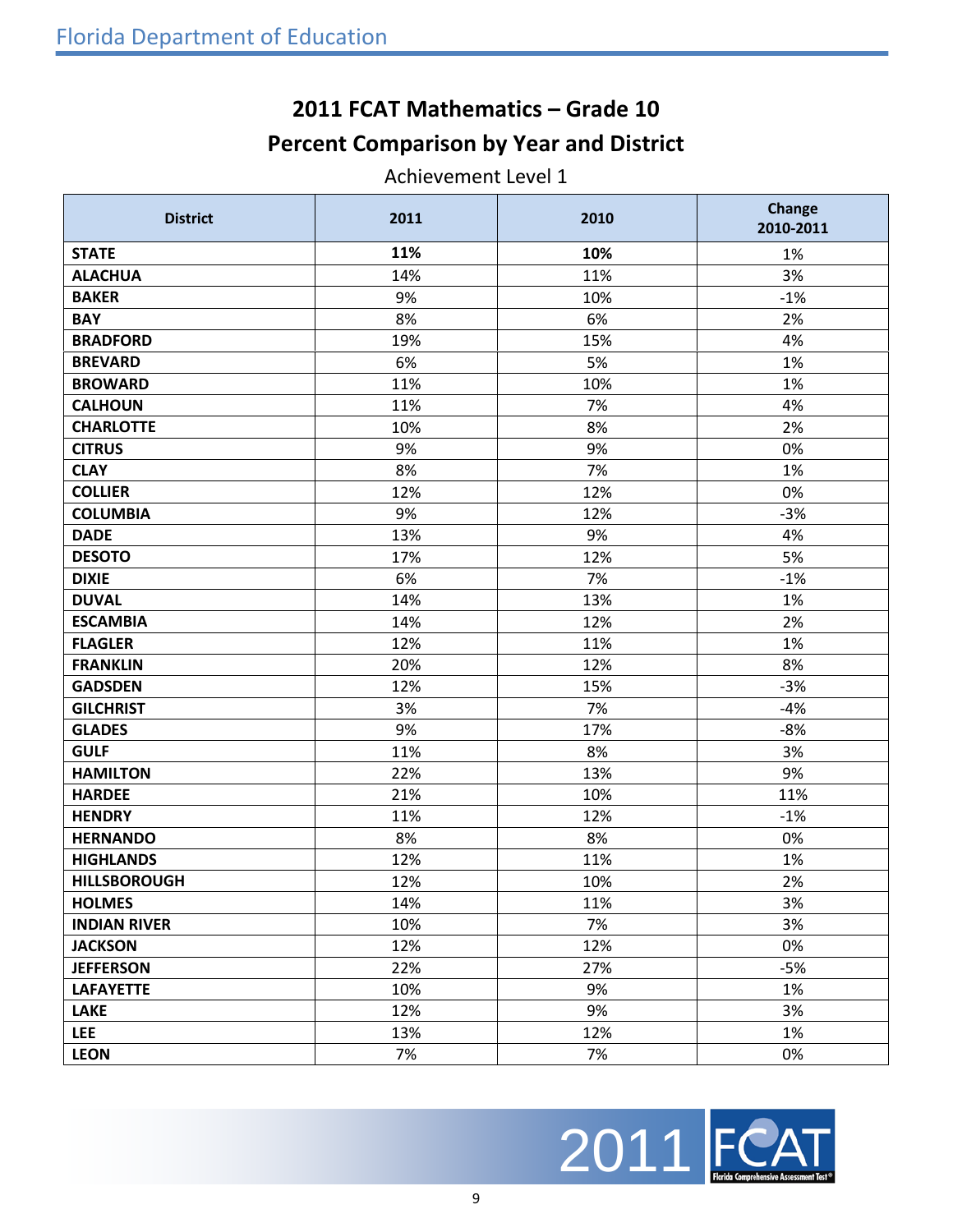## **2011 FCAT Mathematics – Grade 10 Percent Comparison by Year and District**

Achievement Level 1

| <b>District</b>     | 2011 | 2010 | Change<br>2010-2011 |
|---------------------|------|------|---------------------|
| <b>STATE</b>        | 11%  | 10%  | 1%                  |
| <b>ALACHUA</b>      | 14%  | 11%  | 3%                  |
| <b>BAKER</b>        | 9%   | 10%  | $-1%$               |
| <b>BAY</b>          | 8%   | 6%   | 2%                  |
| <b>BRADFORD</b>     | 19%  | 15%  | 4%                  |
| <b>BREVARD</b>      | 6%   | 5%   | 1%                  |
| <b>BROWARD</b>      | 11%  | 10%  | 1%                  |
| <b>CALHOUN</b>      | 11%  | 7%   | 4%                  |
| <b>CHARLOTTE</b>    | 10%  | 8%   | 2%                  |
| <b>CITRUS</b>       | 9%   | 9%   | 0%                  |
| <b>CLAY</b>         | 8%   | 7%   | 1%                  |
| <b>COLLIER</b>      | 12%  | 12%  | 0%                  |
| <b>COLUMBIA</b>     | 9%   | 12%  | $-3%$               |
| <b>DADE</b>         | 13%  | 9%   | 4%                  |
| <b>DESOTO</b>       | 17%  | 12%  | 5%                  |
| <b>DIXIE</b>        | 6%   | 7%   | $-1%$               |
| <b>DUVAL</b>        | 14%  | 13%  | 1%                  |
| <b>ESCAMBIA</b>     | 14%  | 12%  | 2%                  |
| <b>FLAGLER</b>      | 12%  | 11%  | 1%                  |
| <b>FRANKLIN</b>     | 20%  | 12%  | 8%                  |
| <b>GADSDEN</b>      | 12%  | 15%  | $-3%$               |
| <b>GILCHRIST</b>    | 3%   | 7%   | $-4%$               |
| <b>GLADES</b>       | 9%   | 17%  | $-8%$               |
| <b>GULF</b>         | 11%  | 8%   | 3%                  |
| <b>HAMILTON</b>     | 22%  | 13%  | 9%                  |
| <b>HARDEE</b>       | 21%  | 10%  | 11%                 |
| <b>HENDRY</b>       | 11%  | 12%  | $-1%$               |
| <b>HERNANDO</b>     | 8%   | 8%   | 0%                  |
| <b>HIGHLANDS</b>    | 12%  | 11%  | 1%                  |
| <b>HILLSBOROUGH</b> | 12%  | 10%  | 2%                  |
| <b>HOLMES</b>       | 14%  | 11%  | 3%                  |
| <b>INDIAN RIVER</b> | 10%  | 7%   | 3%                  |
| <b>JACKSON</b>      | 12%  | 12%  | 0%                  |
| <b>JEFFERSON</b>    | 22%  | 27%  | $-5%$               |
| <b>LAFAYETTE</b>    | 10%  | 9%   | 1%                  |
| <b>LAKE</b>         | 12%  | 9%   | 3%                  |
| <b>LEE</b>          | 13%  | 12%  | 1%                  |
| <b>LEON</b>         | 7%   | 7%   | 0%                  |

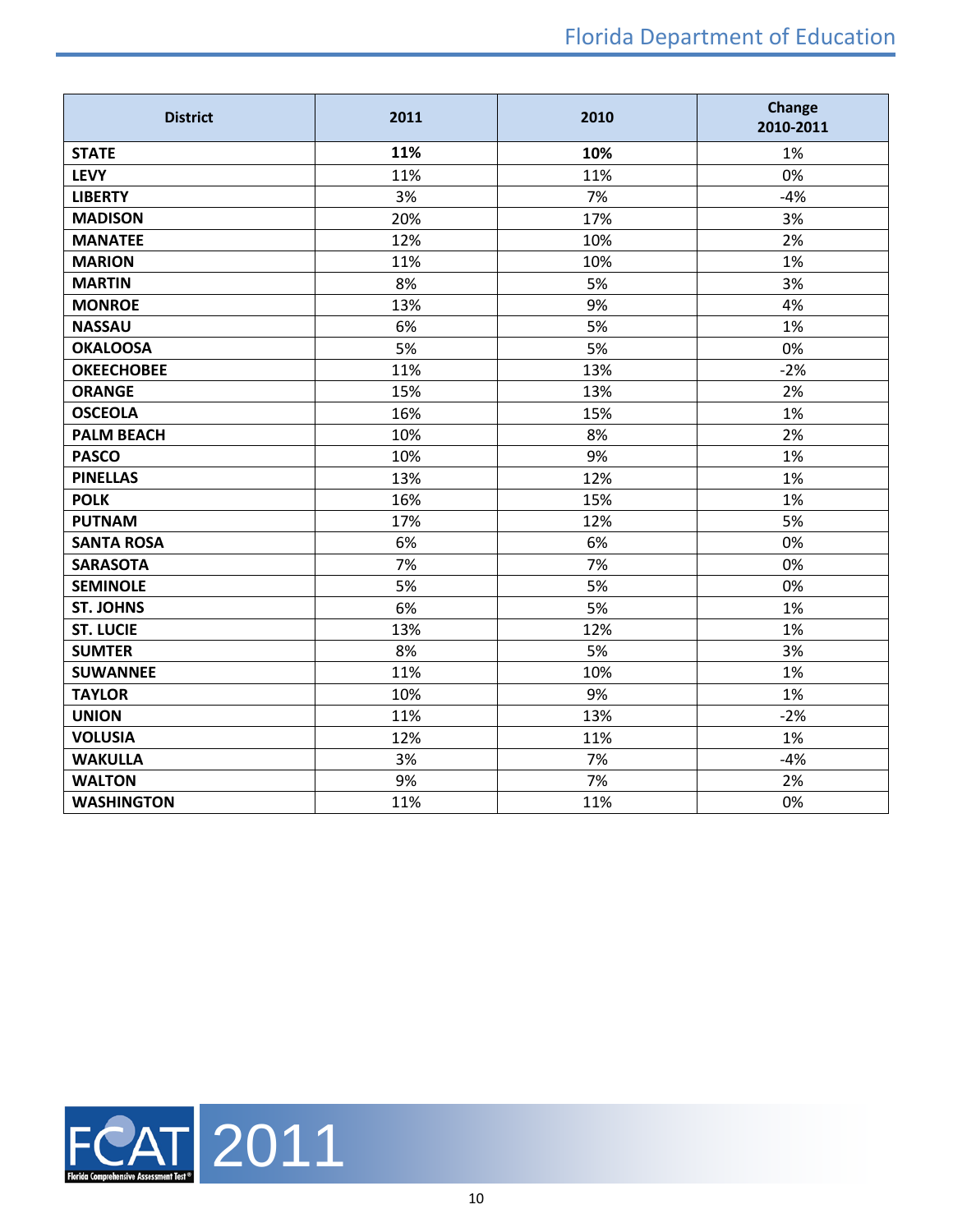| <b>District</b>   | 2011 | 2010 | <b>Change</b><br>2010-2011 |
|-------------------|------|------|----------------------------|
| <b>STATE</b>      | 11%  | 10%  | 1%                         |
| <b>LEVY</b>       | 11%  | 11%  | 0%                         |
| <b>LIBERTY</b>    | 3%   | 7%   | $-4%$                      |
| <b>MADISON</b>    | 20%  | 17%  | 3%                         |
| <b>MANATEE</b>    | 12%  | 10%  | 2%                         |
| <b>MARION</b>     | 11%  | 10%  | 1%                         |
| <b>MARTIN</b>     | 8%   | 5%   | 3%                         |
| <b>MONROE</b>     | 13%  | 9%   | 4%                         |
| <b>NASSAU</b>     | 6%   | 5%   | 1%                         |
| <b>OKALOOSA</b>   | 5%   | 5%   | 0%                         |
| <b>OKEECHOBEE</b> | 11%  | 13%  | $-2%$                      |
| <b>ORANGE</b>     | 15%  | 13%  | 2%                         |
| <b>OSCEOLA</b>    | 16%  | 15%  | 1%                         |
| <b>PALM BEACH</b> | 10%  | 8%   | 2%                         |
| <b>PASCO</b>      | 10%  | 9%   | 1%                         |
| <b>PINELLAS</b>   | 13%  | 12%  | 1%                         |
| <b>POLK</b>       | 16%  | 15%  | 1%                         |
| <b>PUTNAM</b>     | 17%  | 12%  | 5%                         |
| <b>SANTA ROSA</b> | 6%   | 6%   | 0%                         |
| <b>SARASOTA</b>   | 7%   | 7%   | 0%                         |
| <b>SEMINOLE</b>   | 5%   | 5%   | 0%                         |
| <b>ST. JOHNS</b>  | 6%   | 5%   | 1%                         |
| <b>ST. LUCIE</b>  | 13%  | 12%  | 1%                         |
| <b>SUMTER</b>     | 8%   | 5%   | 3%                         |
| <b>SUWANNEE</b>   | 11%  | 10%  | 1%                         |
| <b>TAYLOR</b>     | 10%  | 9%   | 1%                         |
| <b>UNION</b>      | 11%  | 13%  | $-2%$                      |
| <b>VOLUSIA</b>    | 12%  | 11%  | 1%                         |
| <b>WAKULLA</b>    | 3%   | 7%   | $-4%$                      |
| <b>WALTON</b>     | 9%   | 7%   | 2%                         |
| <b>WASHINGTON</b> | 11%  | 11%  | 0%                         |

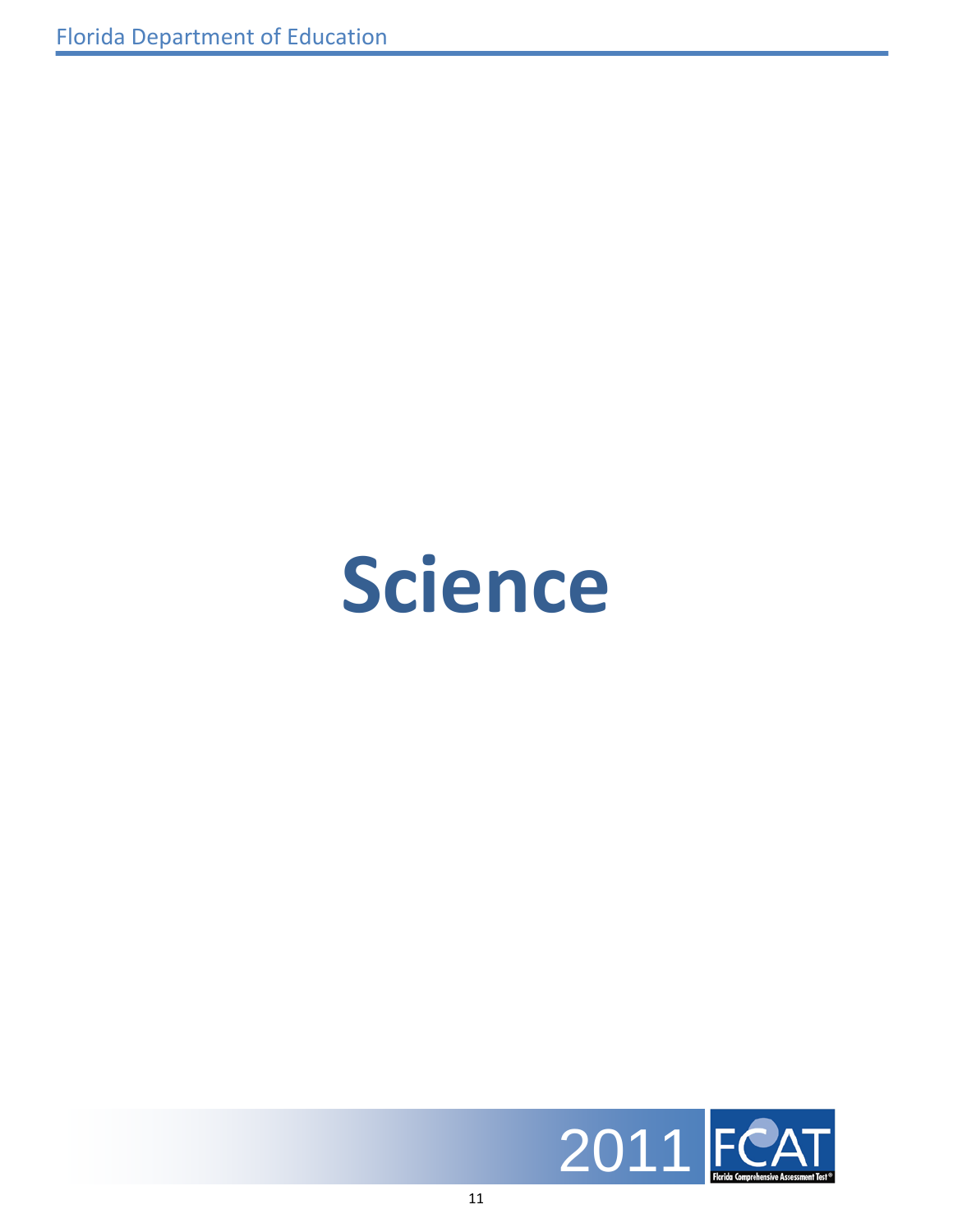## **Science**

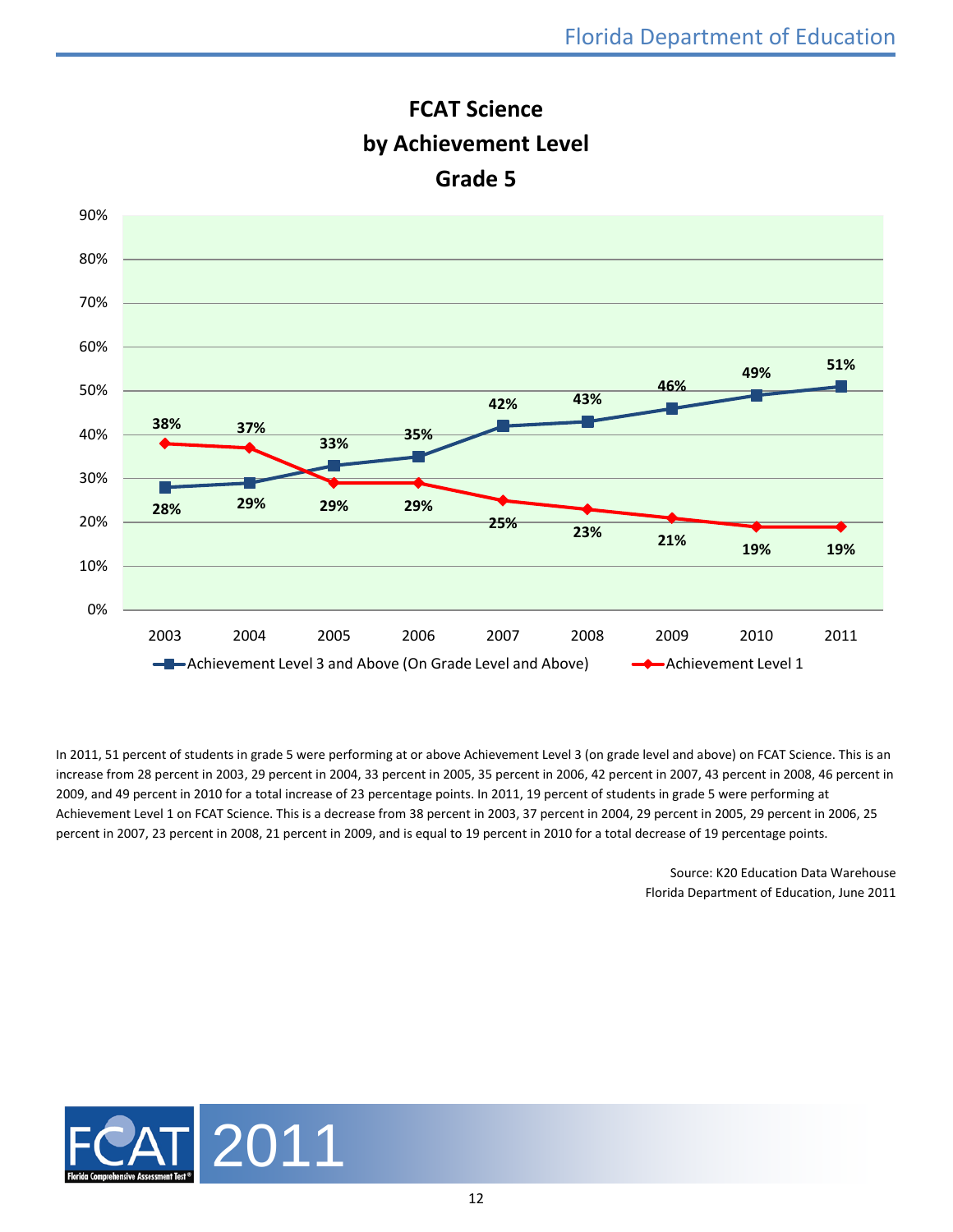

**FCAT Science by Achievement Level Grade 5**

In 2011, 51 percent of students in grade 5 were performing at or above Achievement Level 3 (on grade level and above) on FCAT Science. This is an increase from 28 percent in 2003, 29 percent in 2004, 33 percent in 2005, 35 percent in 2006, 42 percent in 2007, 43 percent in 2008, 46 percent in 2009, and 49 percent in 2010 for a total increase of 23 percentage points. In 2011, 19 percent of students in grade 5 were performing at Achievement Level 1 on FCAT Science. This is a decrease from 38 percent in 2003, 37 percent in 2004, 29 percent in 2005, 29 percent in 2006, 25 percent in 2007, 23 percent in 2008, 21 percent in 2009, and is equal to 19 percent in 2010 for a total decrease of 19 percentage points.

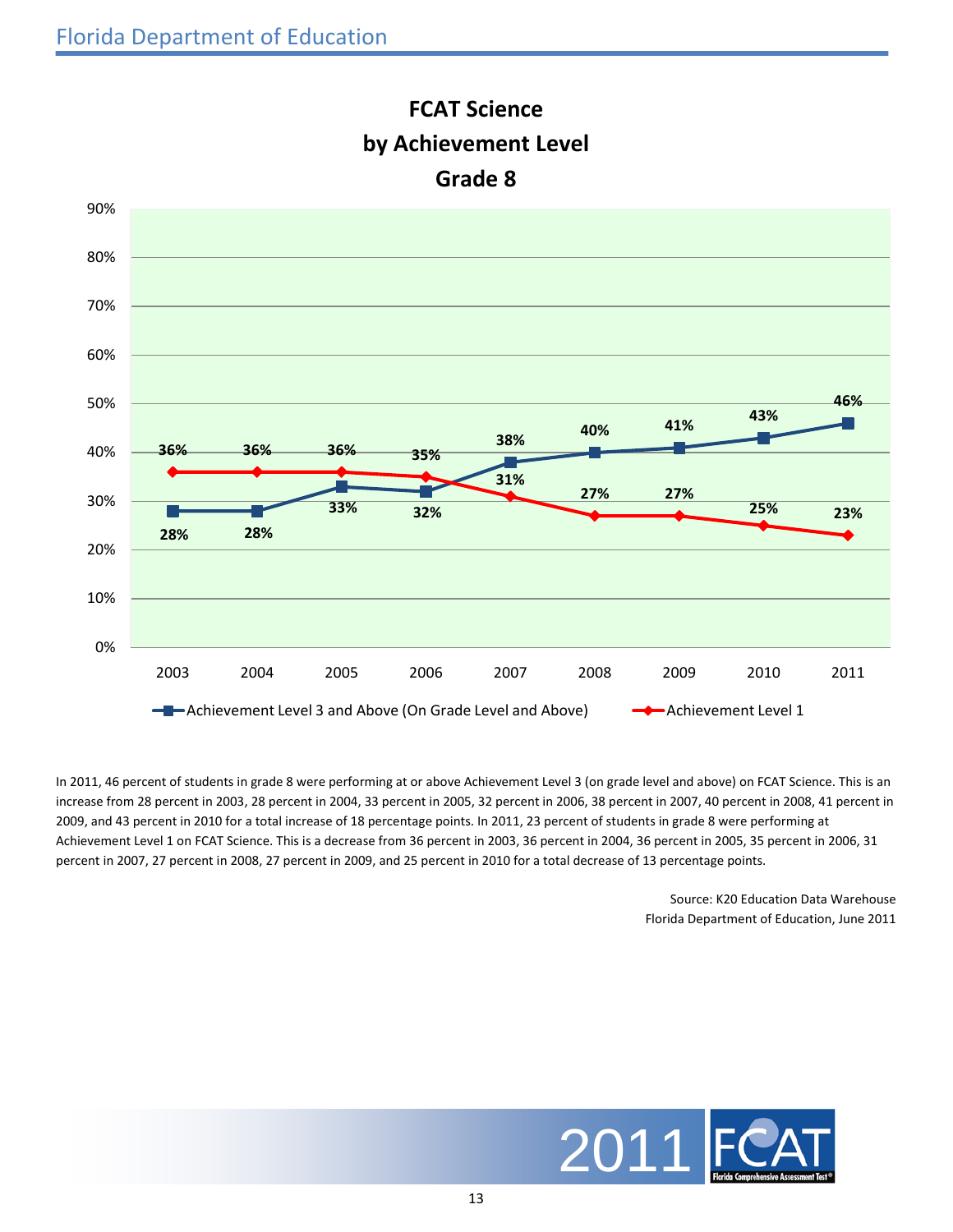

## **FCAT Science by Achievement Level Grade 8**

In 2011, 46 percent of students in grade 8 were performing at or above Achievement Level 3 (on grade level and above) on FCAT Science. This is an increase from 28 percent in 2003, 28 percent in 2004, 33 percent in 2005, 32 percent in 2006, 38 percent in 2007, 40 percent in 2008, 41 percent in 2009, and 43 percent in 2010 for a total increase of 18 percentage points. In 2011, 23 percent of students in grade 8 were performing at Achievement Level 1 on FCAT Science. This is a decrease from 36 percent in 2003, 36 percent in 2004, 36 percent in 2005, 35 percent in 2006, 31 percent in 2007, 27 percent in 2008, 27 percent in 2009, and 25 percent in 2010 for a total decrease of 13 percentage points.

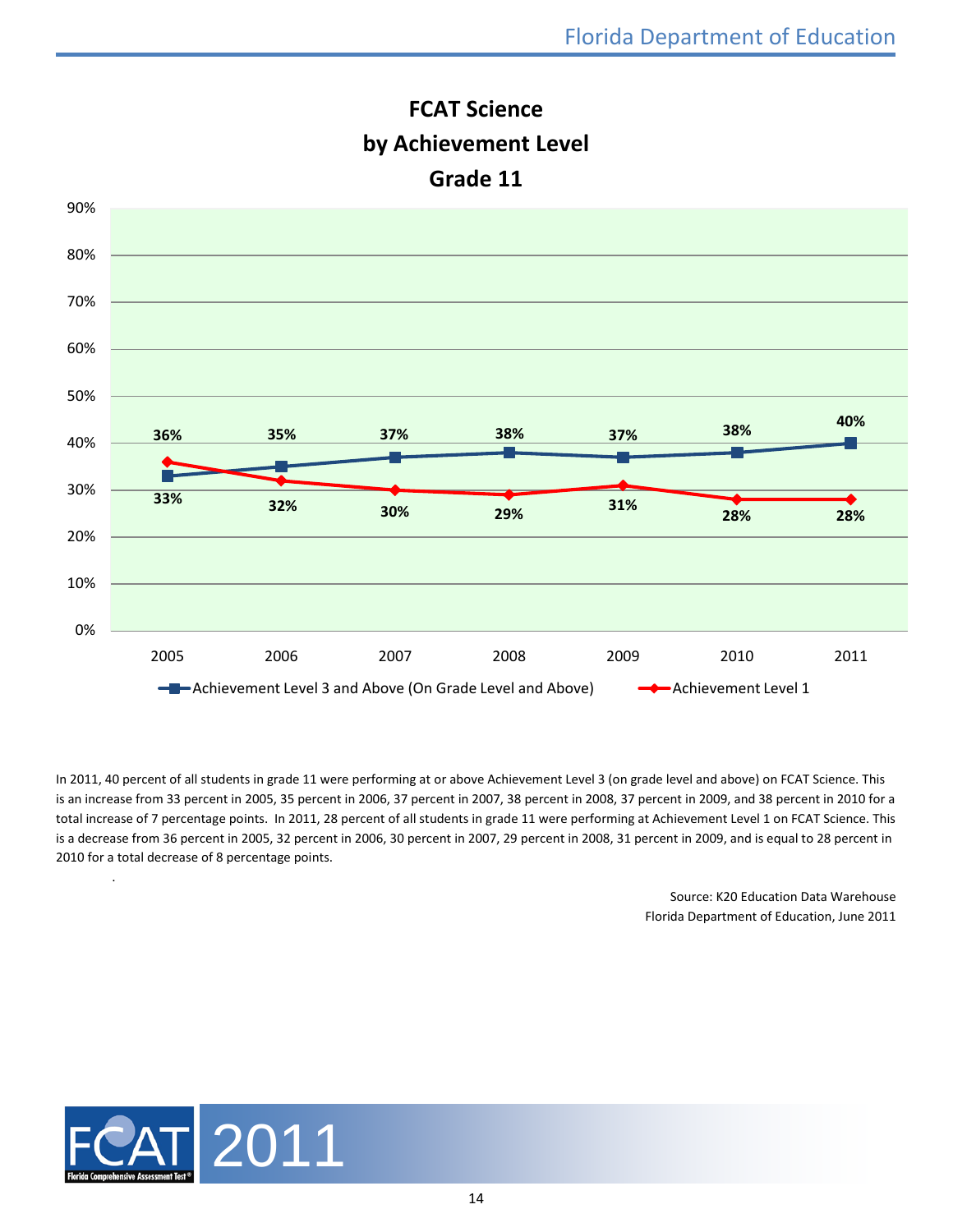

**FCAT Science**

In 2011, 40 percent of all students in grade 11 were performing at or above Achievement Level 3 (on grade level and above) on FCAT Science. This is an increase from 33 percent in 2005, 35 percent in 2006, 37 percent in 2007, 38 percent in 2008, 37 percent in 2009, and 38 percent in 2010 for a total increase of 7 percentage points. In 2011, 28 percent of all students in grade 11 were performing at Achievement Level 1 on FCAT Science. This is a decrease from 36 percent in 2005, 32 percent in 2006, 30 percent in 2007, 29 percent in 2008, 31 percent in 2009, and is equal to 28 percent in 2010 for a total decrease of 8 percentage points.

> Source: K20 Education Data Warehouse Florida Department of Education, June 2011



.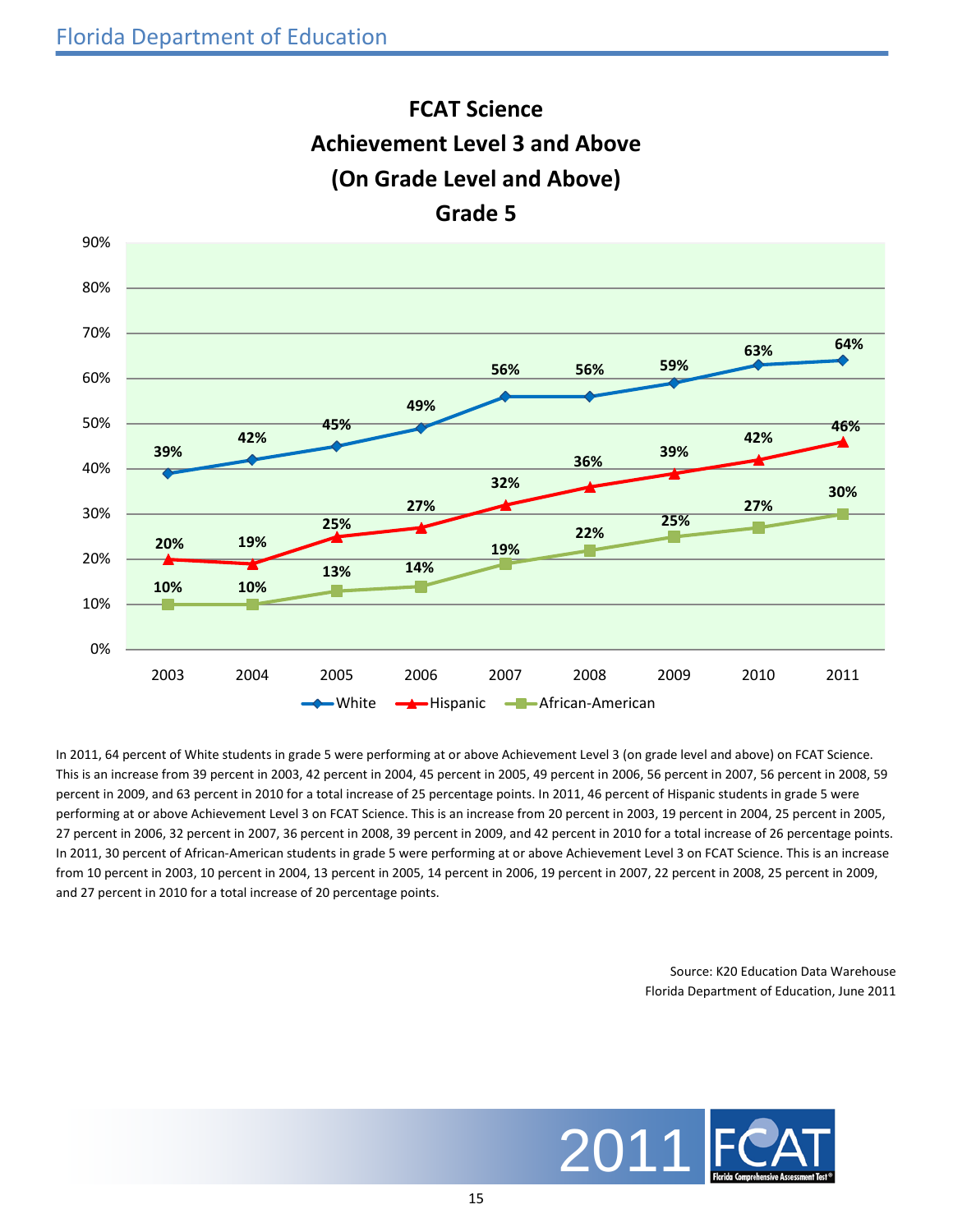

**FCAT Science Achievement Level 3 and Above**

In 2011, 64 percent of White students in grade 5 were performing at or above Achievement Level 3 (on grade level and above) on FCAT Science. This is an increase from 39 percent in 2003, 42 percent in 2004, 45 percent in 2005, 49 percent in 2006, 56 percent in 2007, 56 percent in 2008, 59 percent in 2009, and 63 percent in 2010 for a total increase of 25 percentage points. In 2011, 46 percent of Hispanic students in grade 5 were performing at or above Achievement Level 3 on FCAT Science. This is an increase from 20 percent in 2003, 19 percent in 2004, 25 percent in 2005, 27 percent in 2006, 32 percent in 2007, 36 percent in 2008, 39 percent in 2009, and 42 percent in 2010 for a total increase of 26 percentage points. In 2011, 30 percent of African-American students in grade 5 were performing at or above Achievement Level 3 on FCAT Science. This is an increase from 10 percent in 2003, 10 percent in 2004, 13 percent in 2005, 14 percent in 2006, 19 percent in 2007, 22 percent in 2008, 25 percent in 2009, and 27 percent in 2010 for a total increase of 20 percentage points.

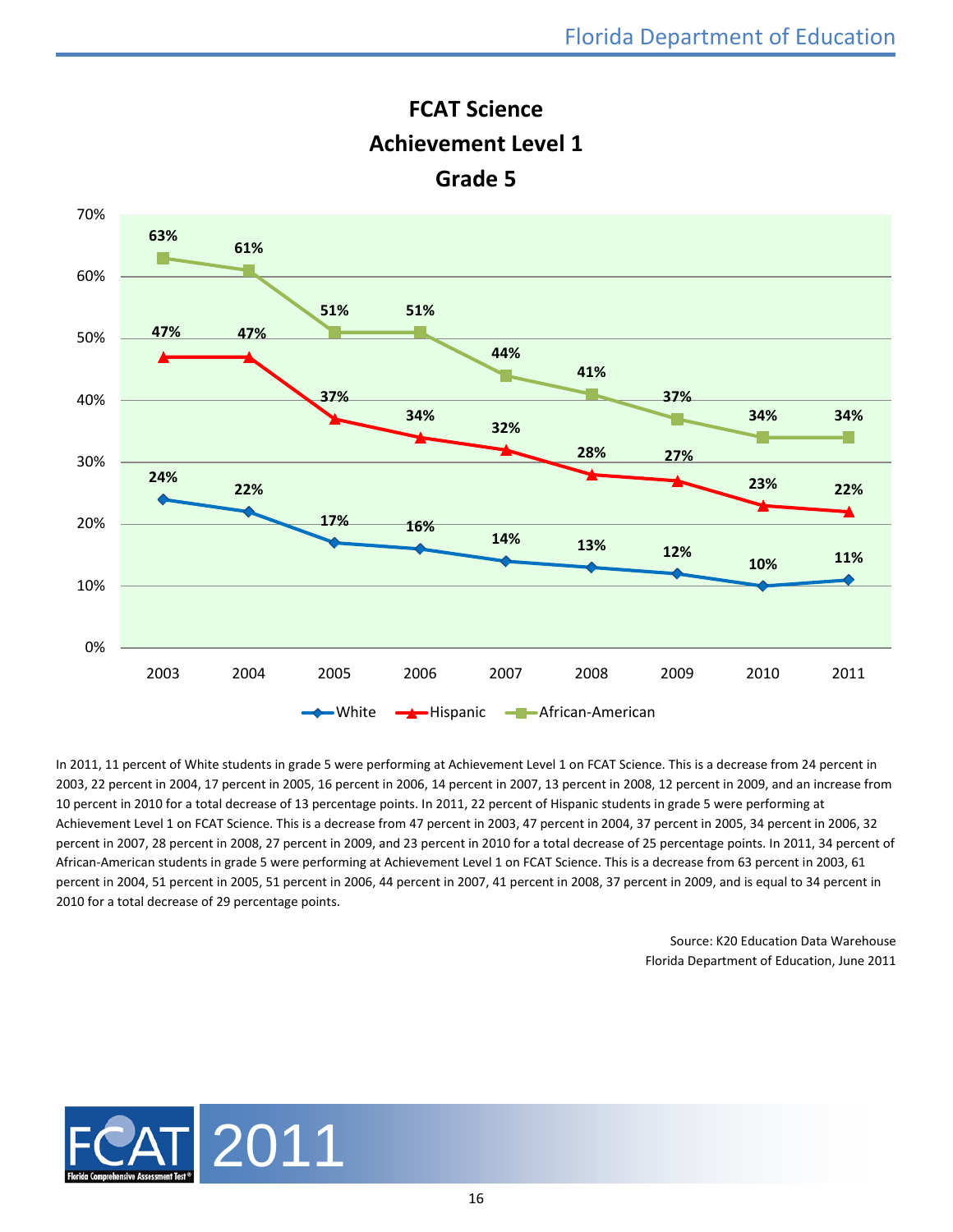

**FCAT Science Achievement Level 1**

In 2011, 11 percent of White students in grade 5 were performing at Achievement Level 1 on FCAT Science. This is a decrease from 24 percent in 2003, 22 percent in 2004, 17 percent in 2005, 16 percent in 2006, 14 percent in 2007, 13 percent in 2008, 12 percent in 2009, and an increase from 10 percent in 2010 for a total decrease of 13 percentage points. In 2011, 22 percent of Hispanic students in grade 5 were performing at Achievement Level 1 on FCAT Science. This is a decrease from 47 percent in 2003, 47 percent in 2004, 37 percent in 2005, 34 percent in 2006, 32 percent in 2007, 28 percent in 2008, 27 percent in 2009, and 23 percent in 2010 for a total decrease of 25 percentage points. In 2011, 34 percent of African-American students in grade 5 were performing at Achievement Level 1 on FCAT Science. This is a decrease from 63 percent in 2003, 61 percent in 2004, 51 percent in 2005, 51 percent in 2006, 44 percent in 2007, 41 percent in 2008, 37 percent in 2009, and is equal to 34 percent in 2010 for a total decrease of 29 percentage points.

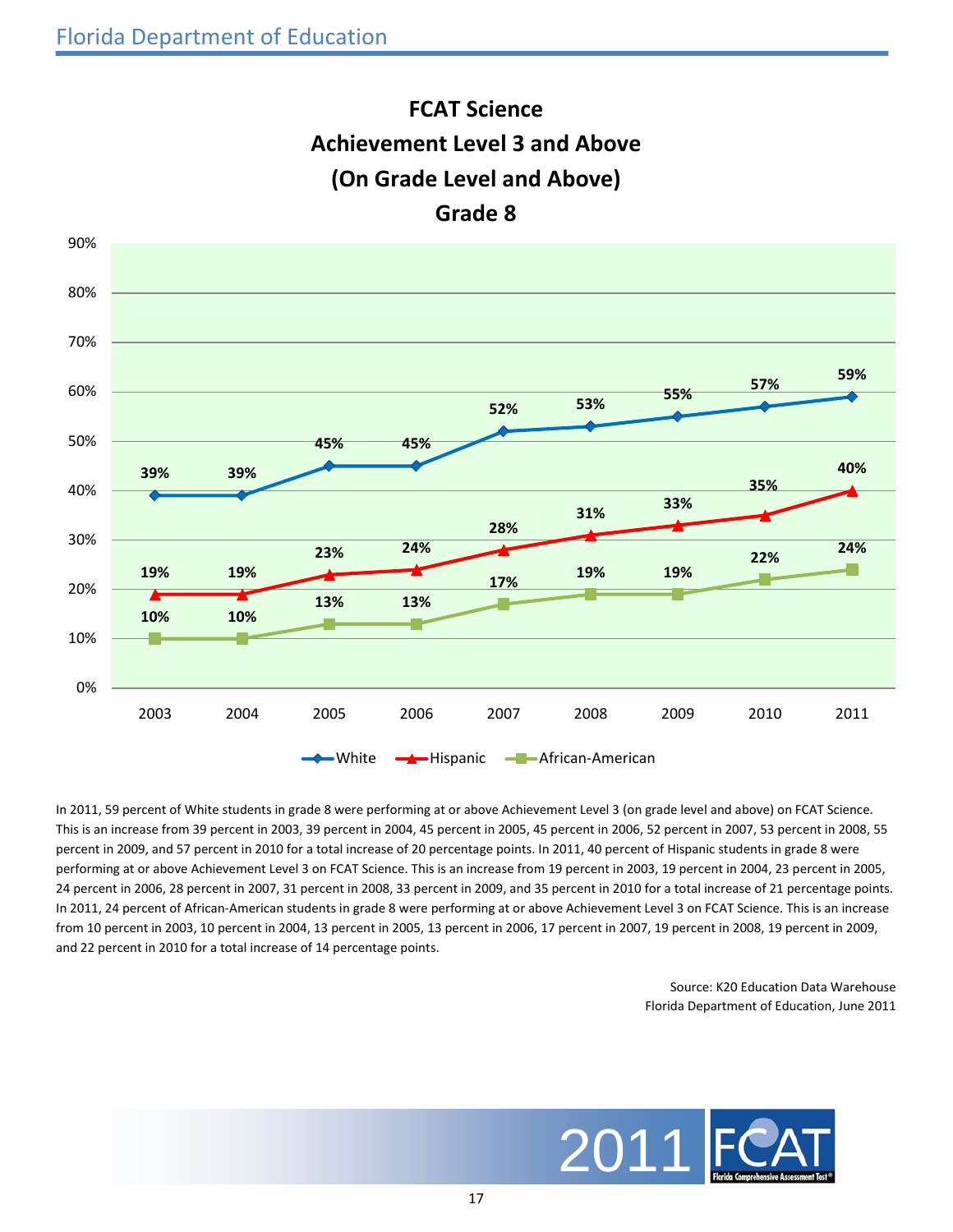

**FCAT Science**

In 2011, 59 percent of White students in grade 8 were performing at or above Achievement Level 3 (on grade level and above) on FCAT Science. This is an increase from 39 percent in 2003, 39 percent in 2004, 45 percent in 2005, 45 percent in 2006, 52 percent in 2007, 53 percent in 2008, 55 percent in 2009, and 57 percent in 2010 for a total increase of 20 percentage points. In 2011, 40 percent of Hispanic students in grade 8 were performing at or above Achievement Level 3 on FCAT Science. This is an increase from 19 percent in 2003, 19 percent in 2004, 23 percent in 2005, 24 percent in 2006, 28 percent in 2007, 31 percent in 2008, 33 percent in 2009, and 35 percent in 2010 for a total increase of 21 percentage points. In 2011, 24 percent of African-American students in grade 8 were performing at or above Achievement Level 3 on FCAT Science. This is an increase from 10 percent in 2003, 10 percent in 2004, 13 percent in 2005, 13 percent in 2006, 17 percent in 2007, 19 percent in 2008, 19 percent in 2009, and 22 percent in 2010 for a total increase of 14 percentage points.

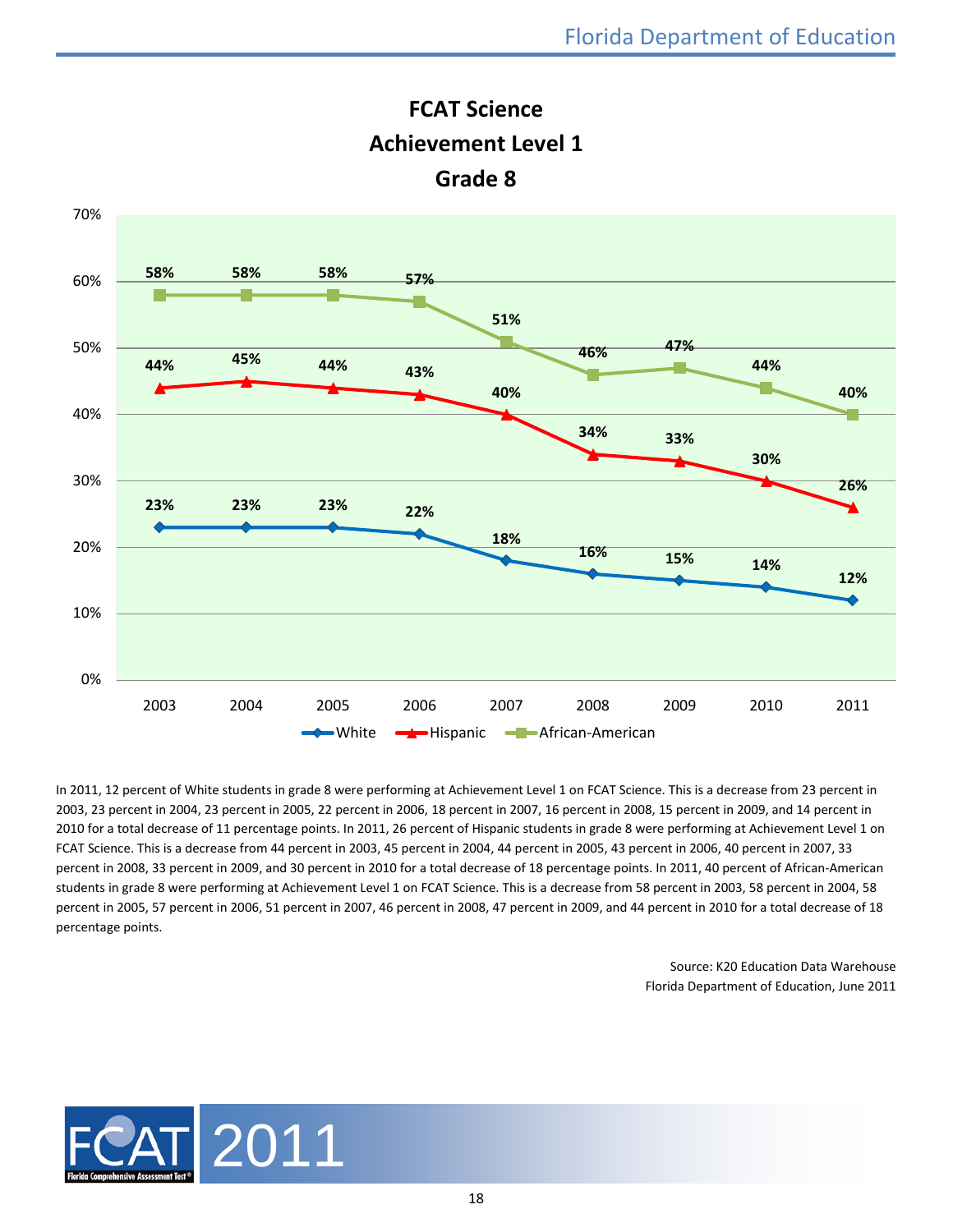



In 2011, 12 percent of White students in grade 8 were performing at Achievement Level 1 on FCAT Science. This is a decrease from 23 percent in 2003, 23 percent in 2004, 23 percent in 2005, 22 percent in 2006, 18 percent in 2007, 16 percent in 2008, 15 percent in 2009, and 14 percent in 2010 for a total decrease of 11 percentage points. In 2011, 26 percent of Hispanic students in grade 8 were performing at Achievement Level 1 on FCAT Science. This is a decrease from 44 percent in 2003, 45 percent in 2004, 44 percent in 2005, 43 percent in 2006, 40 percent in 2007, 33 percent in 2008, 33 percent in 2009, and 30 percent in 2010 for a total decrease of 18 percentage points. In 2011, 40 percent of African-American students in grade 8 were performing at Achievement Level 1 on FCAT Science. This is a decrease from 58 percent in 2003, 58 percent in 2004, 58 percent in 2005, 57 percent in 2006, 51 percent in 2007, 46 percent in 2008, 47 percent in 2009, and 44 percent in 2010 for a total decrease of 18 percentage points.

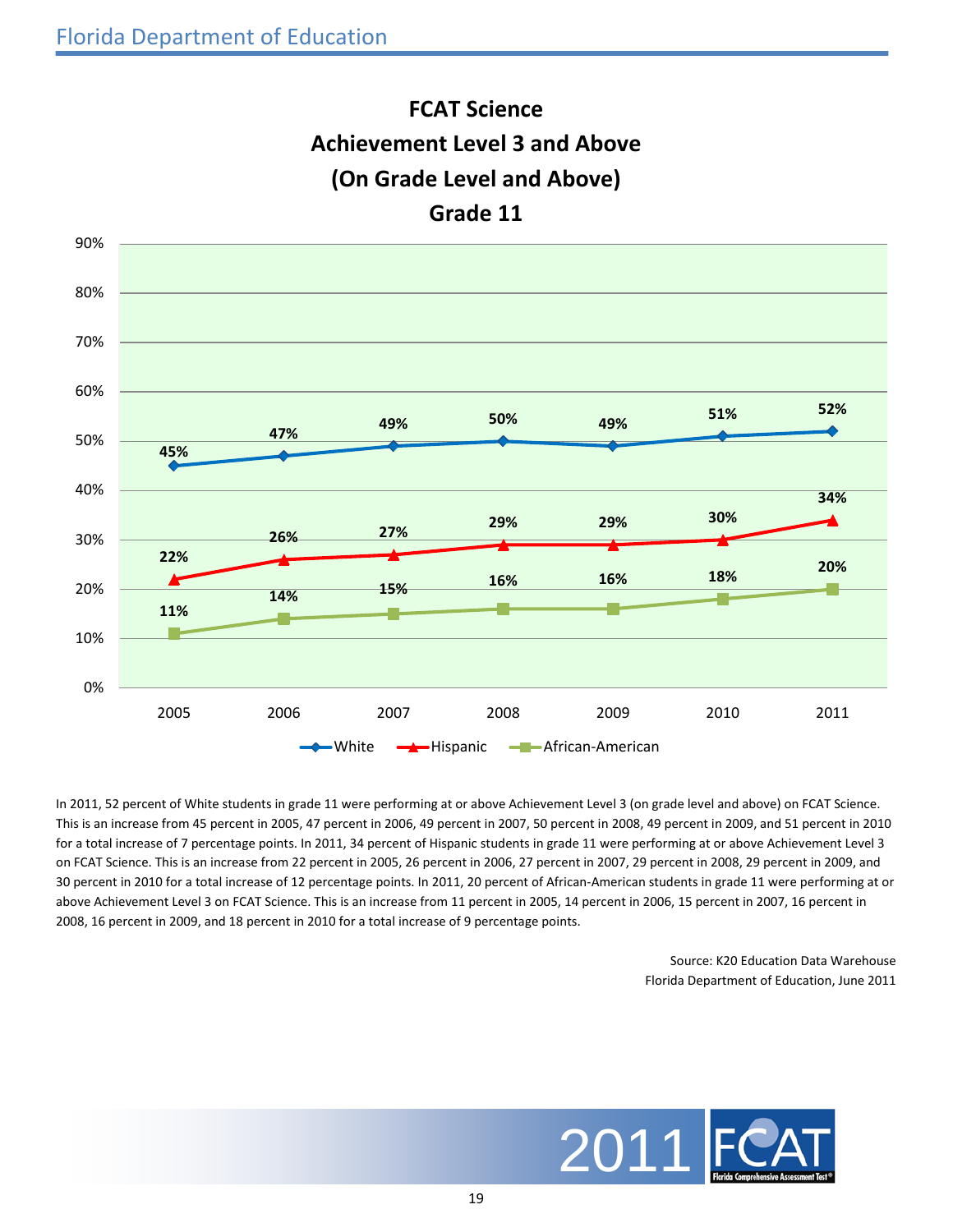

**FCAT Science**

In 2011, 52 percent of White students in grade 11 were performing at or above Achievement Level 3 (on grade level and above) on FCAT Science. This is an increase from 45 percent in 2005, 47 percent in 2006, 49 percent in 2007, 50 percent in 2008, 49 percent in 2009, and 51 percent in 2010 for a total increase of 7 percentage points. In 2011, 34 percent of Hispanic students in grade 11 were performing at or above Achievement Level 3 on FCAT Science. This is an increase from 22 percent in 2005, 26 percent in 2006, 27 percent in 2007, 29 percent in 2008, 29 percent in 2009, and 30 percent in 2010 for a total increase of 12 percentage points. In 2011, 20 percent of African-American students in grade 11 were performing at or above Achievement Level 3 on FCAT Science. This is an increase from 11 percent in 2005, 14 percent in 2006, 15 percent in 2007, 16 percent in 2008, 16 percent in 2009, and 18 percent in 2010 for a total increase of 9 percentage points.

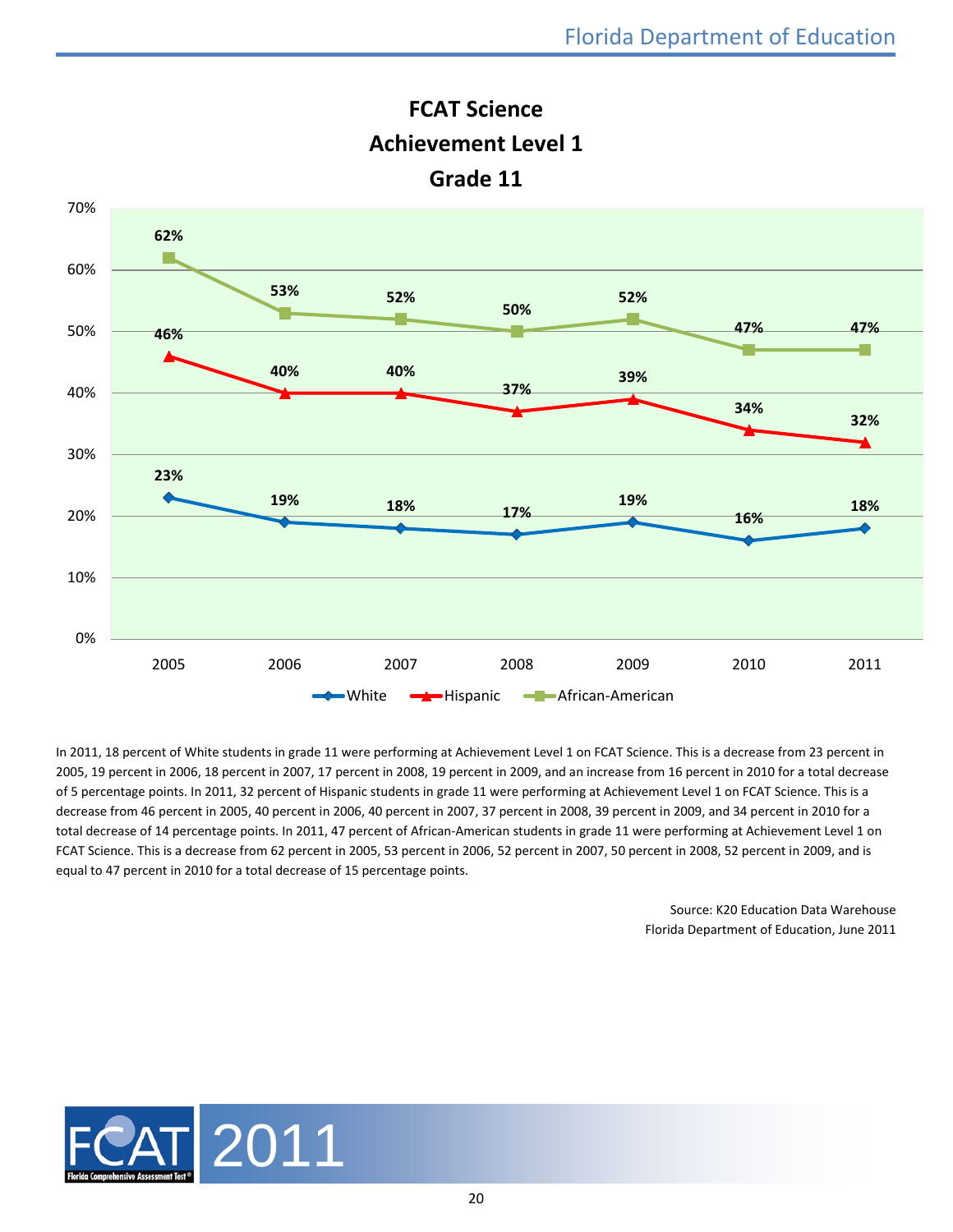

**FCAT Science Achievement Level 1 Grade 11**

In 2011, 18 percent of White students in grade 11 were performing at Achievement Level 1 on FCAT Science. This is a decrease from 23 percent in 2005, 19 percent in 2006, 18 percent in 2007, 17 percent in 2008, 19 percent in 2009, and an increase from 16 percent in 2010 for a total decrease of 5 percentage points. In 2011, 32 percent of Hispanic students in grade 11 were performing at Achievement Level 1 on FCAT Science. This is a decrease from 46 percent in 2005, 40 percent in 2006, 40 percent in 2007, 37 percent in 2008, 39 percent in 2009, and 34 percent in 2010 for a total decrease of 14 percentage points. In 2011, 47 percent of African-American students in grade 11 were performing at Achievement Level 1 on FCAT Science. This is a decrease from 62 percent in 2005, 53 percent in 2006, 52 percent in 2007, 50 percent in 2008, 52 percent in 2009, and is equal to 47 percent in 2010 for a total decrease of 15 percentage points.

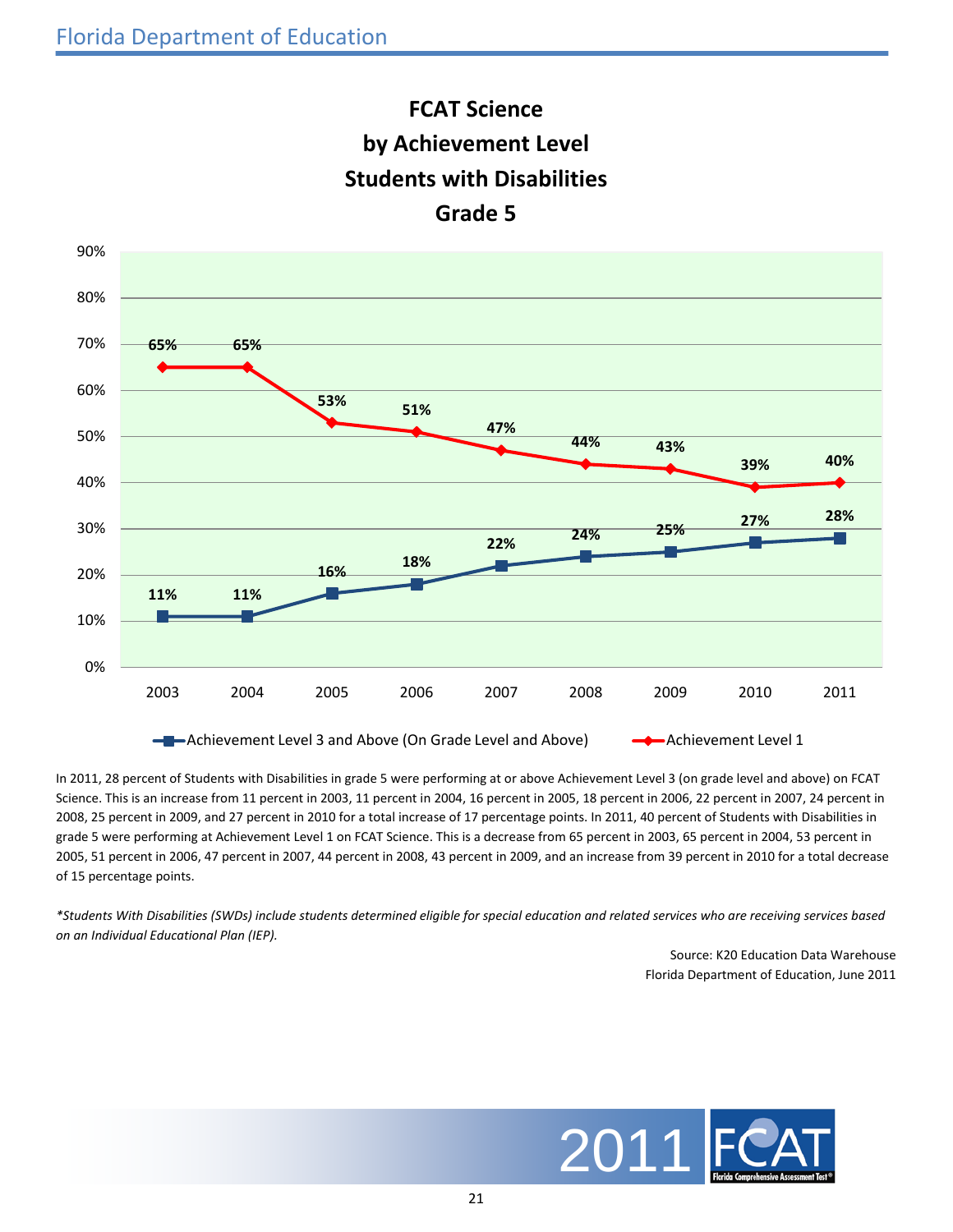



In 2011, 28 percent of Students with Disabilities in grade 5 were performing at or above Achievement Level 3 (on grade level and above) on FCAT Science. This is an increase from 11 percent in 2003, 11 percent in 2004, 16 percent in 2005, 18 percent in 2006, 22 percent in 2007, 24 percent in 2008, 25 percent in 2009, and 27 percent in 2010 for a total increase of 17 percentage points. In 2011, 40 percent of Students with Disabilities in grade 5 were performing at Achievement Level 1 on FCAT Science. This is a decrease from 65 percent in 2003, 65 percent in 2004, 53 percent in 2005, 51 percent in 2006, 47 percent in 2007, 44 percent in 2008, 43 percent in 2009, and an increase from 39 percent in 2010 for a total decrease of 15 percentage points.

*\*Students With Disabilities (SWDs) include students determined eligible for special education and related services who are receiving services based on an Individual Educational Plan (IEP).*

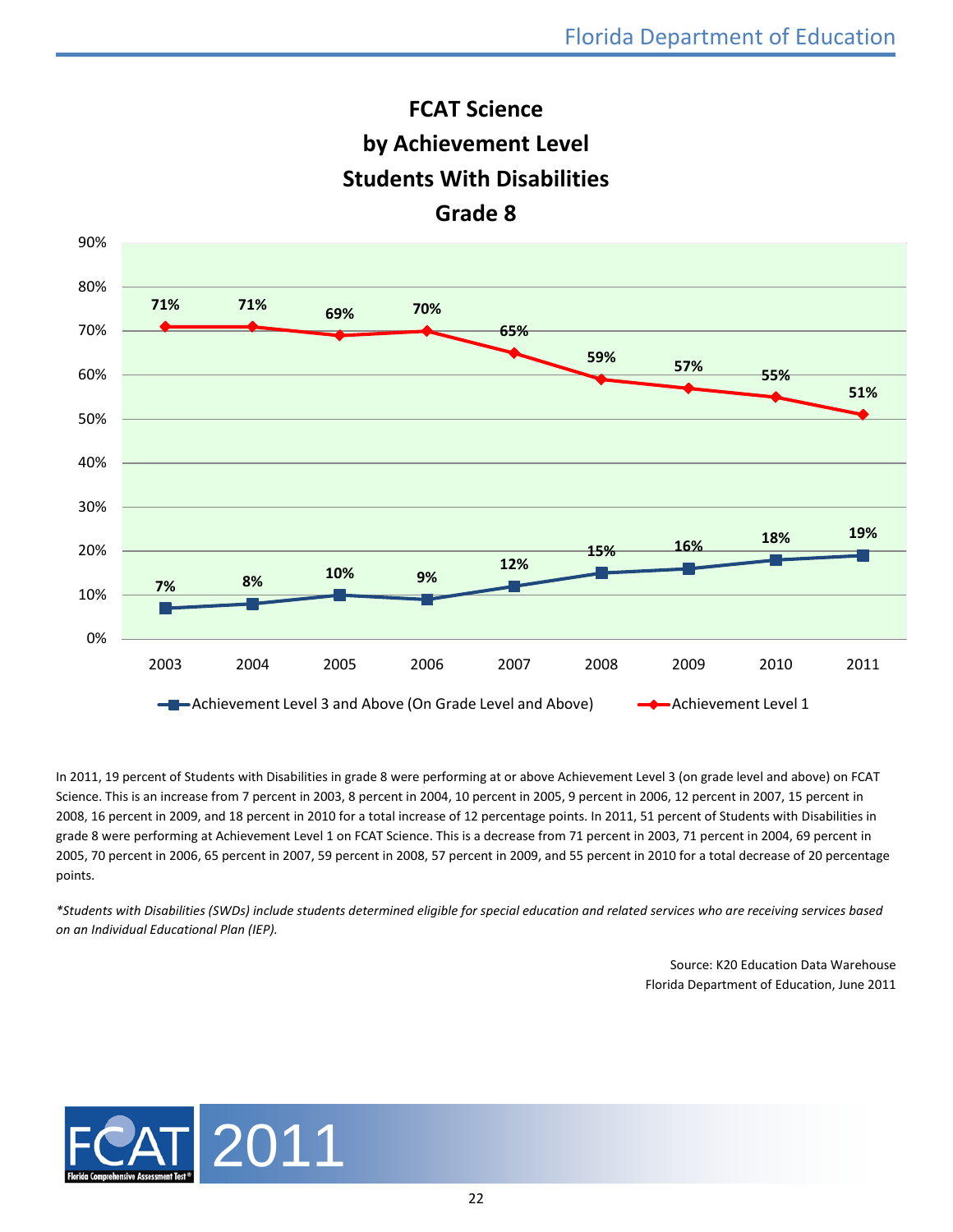



In 2011, 19 percent of Students with Disabilities in grade 8 were performing at or above Achievement Level 3 (on grade level and above) on FCAT Science. This is an increase from 7 percent in 2003, 8 percent in 2004, 10 percent in 2005, 9 percent in 2006, 12 percent in 2007, 15 percent in 2008, 16 percent in 2009, and 18 percent in 2010 for a total increase of 12 percentage points. In 2011, 51 percent of Students with Disabilities in grade 8 were performing at Achievement Level 1 on FCAT Science. This is a decrease from 71 percent in 2003, 71 percent in 2004, 69 percent in 2005, 70 percent in 2006, 65 percent in 2007, 59 percent in 2008, 57 percent in 2009, and 55 percent in 2010 for a total decrease of 20 percentage points.

*\*Students with Disabilities (SWDs) include students determined eligible for special education and related services who are receiving services based on an Individual Educational Plan (IEP).*

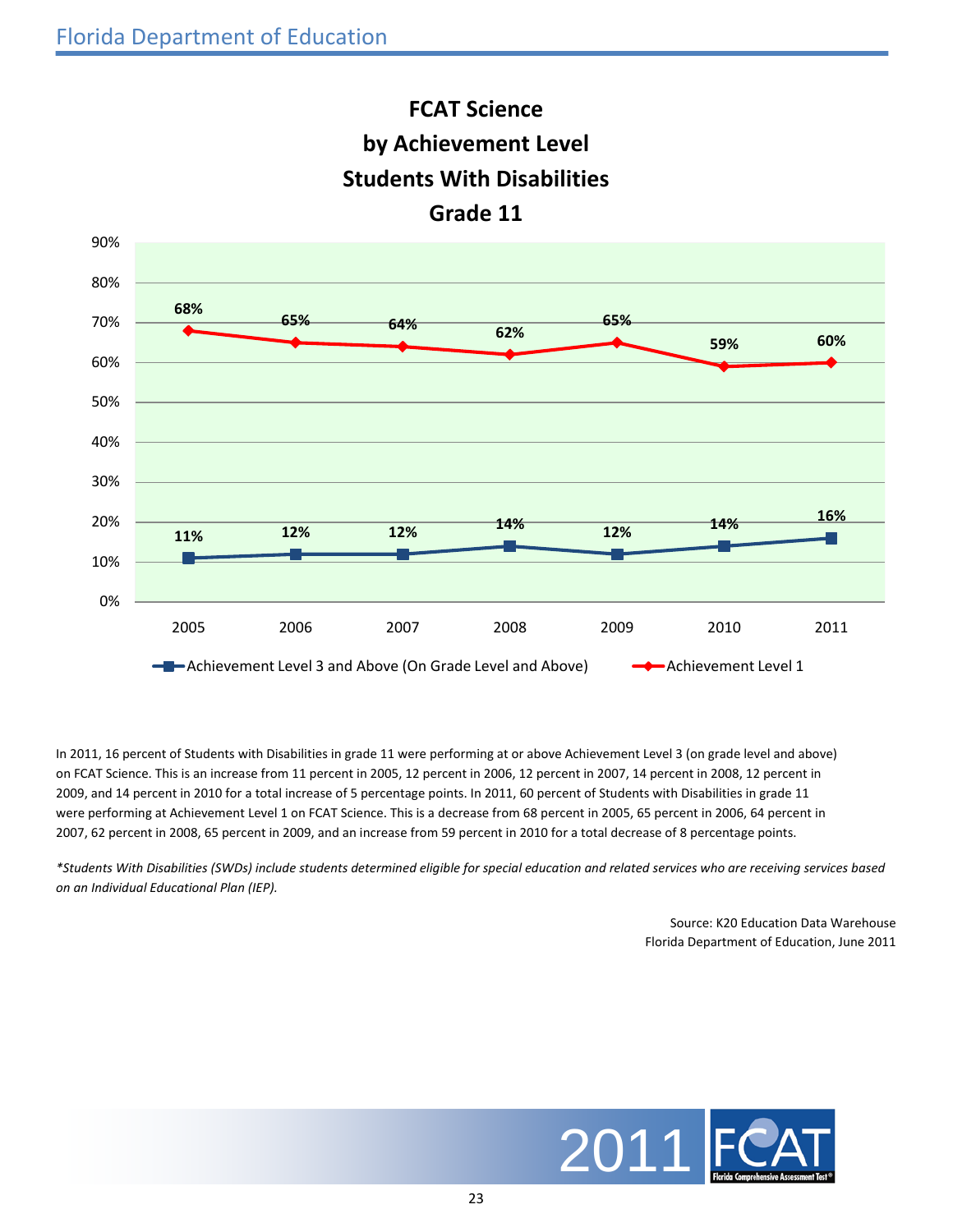

**FCAT Science**

In 2011, 16 percent of Students with Disabilities in grade 11 were performing at or above Achievement Level 3 (on grade level and above) on FCAT Science. This is an increase from 11 percent in 2005, 12 percent in 2006, 12 percent in 2007, 14 percent in 2008, 12 percent in 2009, and 14 percent in 2010 for a total increase of 5 percentage points. In 2011, 60 percent of Students with Disabilities in grade 11 were performing at Achievement Level 1 on FCAT Science. This is a decrease from 68 percent in 2005, 65 percent in 2006, 64 percent in 2007, 62 percent in 2008, 65 percent in 2009, and an increase from 59 percent in 2010 for a total decrease of 8 percentage points.

*\*Students With Disabilities (SWDs) include students determined eligible for special education and related services who are receiving services based on an Individual Educational Plan (IEP).*

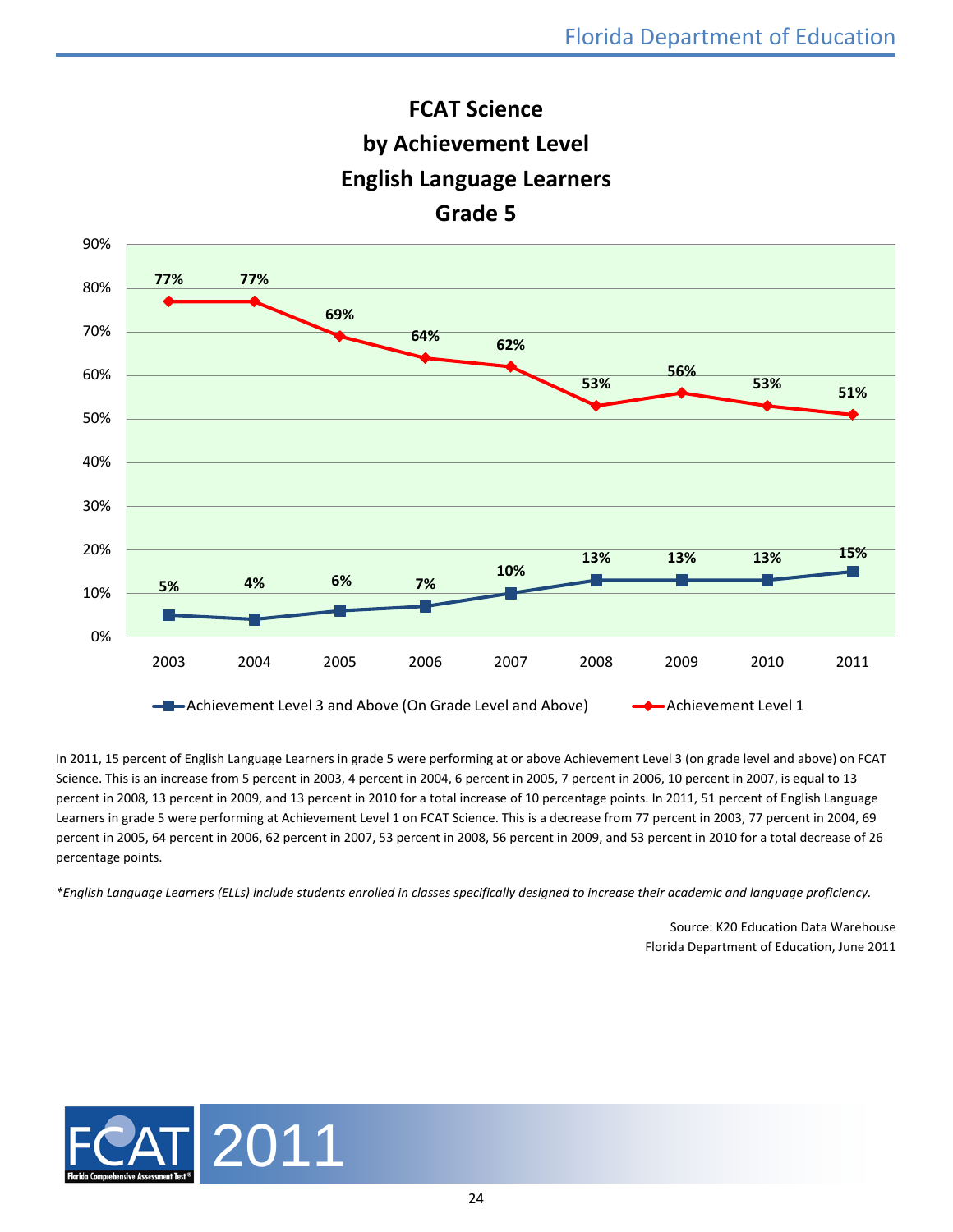



In 2011, 15 percent of English Language Learners in grade 5 were performing at or above Achievement Level 3 (on grade level and above) on FCAT Science. This is an increase from 5 percent in 2003, 4 percent in 2004, 6 percent in 2005, 7 percent in 2006, 10 percent in 2007, is equal to 13 percent in 2008, 13 percent in 2009, and 13 percent in 2010 for a total increase of 10 percentage points. In 2011, 51 percent of English Language Learners in grade 5 were performing at Achievement Level 1 on FCAT Science. This is a decrease from 77 percent in 2003, 77 percent in 2004, 69 percent in 2005, 64 percent in 2006, 62 percent in 2007, 53 percent in 2008, 56 percent in 2009, and 53 percent in 2010 for a total decrease of 26 percentage points.

*\*English Language Learners (ELLs) include students enrolled in classes specifically designed to increase their academic and language proficiency.*

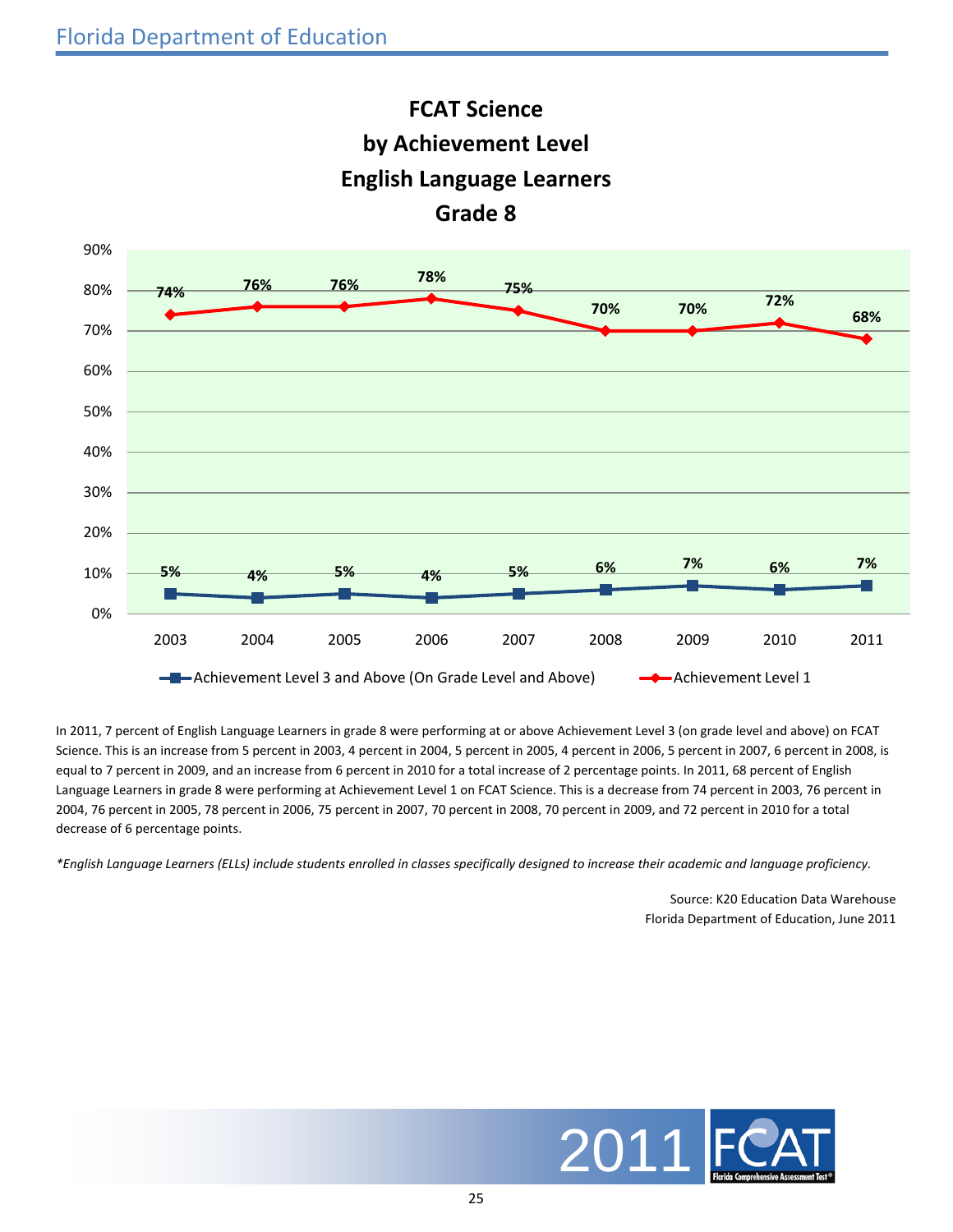

In 2011, 7 percent of English Language Learners in grade 8 were performing at or above Achievement Level 3 (on grade level and above) on FCAT Science. This is an increase from 5 percent in 2003, 4 percent in 2004, 5 percent in 2005, 4 percent in 2006, 5 percent in 2007, 6 percent in 2008, is equal to 7 percent in 2009, and an increase from 6 percent in 2010 for a total increase of 2 percentage points. In 2011, 68 percent of English Language Learners in grade 8 were performing at Achievement Level 1 on FCAT Science. This is a decrease from 74 percent in 2003, 76 percent in 2004, 76 percent in 2005, 78 percent in 2006, 75 percent in 2007, 70 percent in 2008, 70 percent in 2009, and 72 percent in 2010 for a total decrease of 6 percentage points.

*\*English Language Learners (ELLs) include students enrolled in classes specifically designed to increase their academic and language proficiency.*

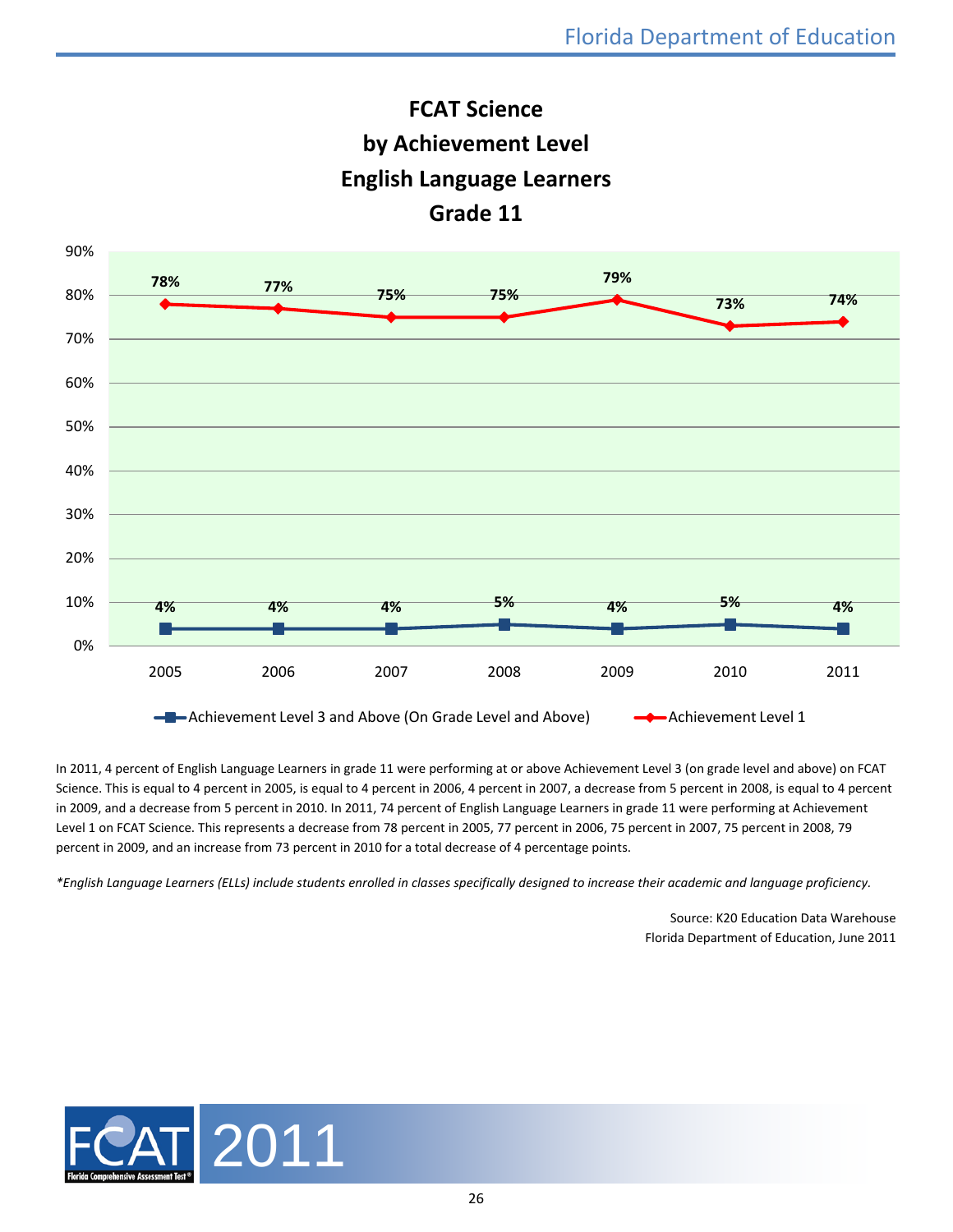



In 2011, 4 percent of English Language Learners in grade 11 were performing at or above Achievement Level 3 (on grade level and above) on FCAT Science. This is equal to 4 percent in 2005, is equal to 4 percent in 2006, 4 percent in 2007, a decrease from 5 percent in 2008, is equal to 4 percent in 2009, and a decrease from 5 percent in 2010. In 2011, 74 percent of English Language Learners in grade 11 were performing at Achievement Level 1 on FCAT Science. This represents a decrease from 78 percent in 2005, 77 percent in 2006, 75 percent in 2007, 75 percent in 2008, 79 percent in 2009, and an increase from 73 percent in 2010 for a total decrease of 4 percentage points.

*\*English Language Learners (ELLs) include students enrolled in classes specifically designed to increase their academic and language proficiency.*

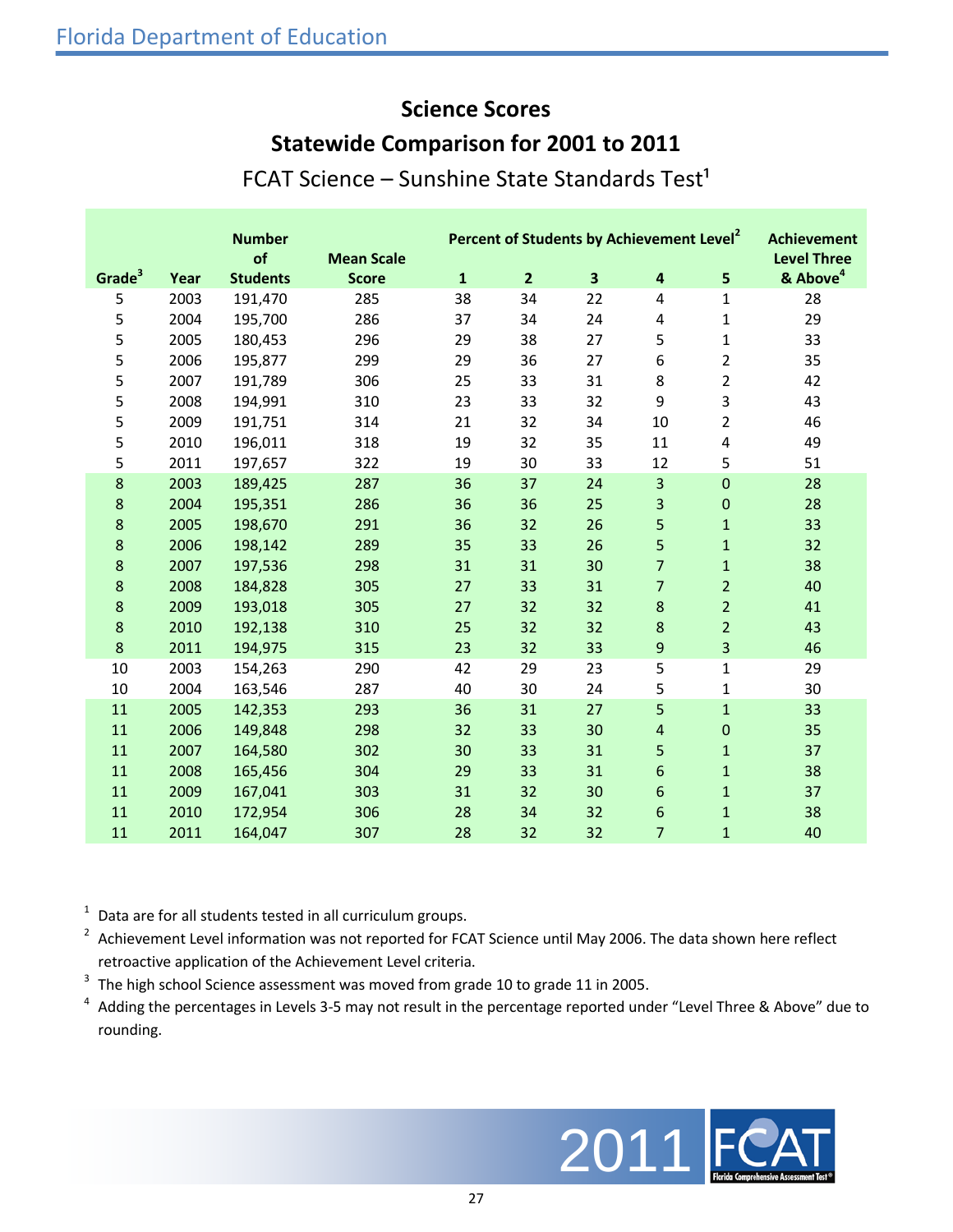#### **Science Scores**

#### **Statewide Comparison for 2001 to 2011**

| FCAT Science - Sunshine State Standards Test <sup>1</sup> |  |  |  |  |
|-----------------------------------------------------------|--|--|--|--|
|-----------------------------------------------------------|--|--|--|--|

|                    |      | <b>Number</b><br>of | <b>Mean Scale</b> |              |                | Percent of Students by Achievement Level <sup>2</sup> |                         |                  | <b>Achievement</b><br><b>Level Three</b> |
|--------------------|------|---------------------|-------------------|--------------|----------------|-------------------------------------------------------|-------------------------|------------------|------------------------------------------|
| Grade <sup>3</sup> | Year | <b>Students</b>     | <b>Score</b>      | $\mathbf{1}$ | $\overline{2}$ | $\overline{\mathbf{3}}$                               | 4                       | 5                | & Above <sup>4</sup>                     |
| 5                  | 2003 | 191,470             | 285               | 38           | 34             | 22                                                    | 4                       | 1                | 28                                       |
| 5                  | 2004 | 195,700             | 286               | 37           | 34             | 24                                                    | 4                       | $\mathbf{1}$     | 29                                       |
| 5                  | 2005 | 180,453             | 296               | 29           | 38             | 27                                                    | 5                       | $\mathbf{1}$     | 33                                       |
| 5                  | 2006 | 195,877             | 299               | 29           | 36             | 27                                                    | 6                       | $\overline{2}$   | 35                                       |
| 5                  | 2007 | 191,789             | 306               | 25           | 33             | 31                                                    | 8                       | $\overline{2}$   | 42                                       |
| 5                  | 2008 | 194,991             | 310               | 23           | 33             | 32                                                    | 9                       | 3                | 43                                       |
| 5                  | 2009 | 191,751             | 314               | 21           | 32             | 34                                                    | 10                      | $\overline{2}$   | 46                                       |
| 5                  | 2010 | 196,011             | 318               | 19           | 32             | 35                                                    | 11                      | 4                | 49                                       |
| 5                  | 2011 | 197,657             | 322               | 19           | 30             | 33                                                    | 12                      | 5                | 51                                       |
| 8                  | 2003 | 189,425             | 287               | 36           | 37             | 24                                                    | 3                       | $\mathbf 0$      | 28                                       |
| 8                  | 2004 | 195,351             | 286               | 36           | 36             | 25                                                    | $\overline{\mathbf{3}}$ | $\pmb{0}$        | 28                                       |
| 8                  | 2005 | 198,670             | 291               | 36           | 32             | 26                                                    | 5                       | $\mathbf{1}$     | 33                                       |
| 8                  | 2006 | 198,142             | 289               | 35           | 33             | 26                                                    | 5                       | $\mathbf{1}$     | 32                                       |
| 8                  | 2007 | 197,536             | 298               | 31           | 31             | 30                                                    | $\overline{7}$          | $\mathbf{1}$     | 38                                       |
| 8                  | 2008 | 184,828             | 305               | 27           | 33             | 31                                                    | $\overline{7}$          | $\overline{2}$   | 40                                       |
| 8                  | 2009 | 193,018             | 305               | 27           | 32             | 32                                                    | 8                       | $\overline{2}$   | 41                                       |
| 8                  | 2010 | 192,138             | 310               | 25           | 32             | 32                                                    | $\boldsymbol{8}$        | $\overline{2}$   | 43                                       |
| $\bf 8$            | 2011 | 194,975             | 315               | 23           | 32             | 33                                                    | 9                       | 3                | 46                                       |
| 10                 | 2003 | 154,263             | 290               | 42           | 29             | 23                                                    | 5                       | $\mathbf{1}$     | 29                                       |
| 10                 | 2004 | 163,546             | 287               | 40           | 30             | 24                                                    | 5                       | $\mathbf{1}$     | 30                                       |
| 11                 | 2005 | 142,353             | 293               | 36           | 31             | 27                                                    | 5                       | $\mathbf{1}$     | 33                                       |
| 11                 | 2006 | 149,848             | 298               | 32           | 33             | 30                                                    | $\overline{4}$          | $\boldsymbol{0}$ | 35                                       |
| 11                 | 2007 | 164,580             | 302               | 30           | 33             | 31                                                    | 5                       | $\mathbf{1}$     | 37                                       |
| 11                 | 2008 | 165,456             | 304               | 29           | 33             | 31                                                    | $6\phantom{1}6$         | $\mathbf{1}$     | 38                                       |
| 11                 | 2009 | 167,041             | 303               | 31           | 32             | 30                                                    | $6\phantom{1}6$         | $\mathbf{1}$     | 37                                       |
| 11                 | 2010 | 172,954             | 306               | 28           | 34             | 32                                                    | $6\phantom{1}6$         | $\mathbf{1}$     | 38                                       |
| 11                 | 2011 | 164,047             | 307               | 28           | 32             | 32                                                    | $\overline{7}$          | $\mathbf{1}$     | 40                                       |

Data are for all students tested in all curriculum groups.

<sup>2</sup> Achievement Level information was not reported for FCAT Science until May 2006. The data shown here reflect retroactive application of the Achievement Level criteria.

The high school Science assessment was moved from grade 10 to grade 11 in 2005.

<sup>4</sup> Adding the percentages in Levels 3-5 may not result in the percentage reported under "Level Three & Above" due to rounding.

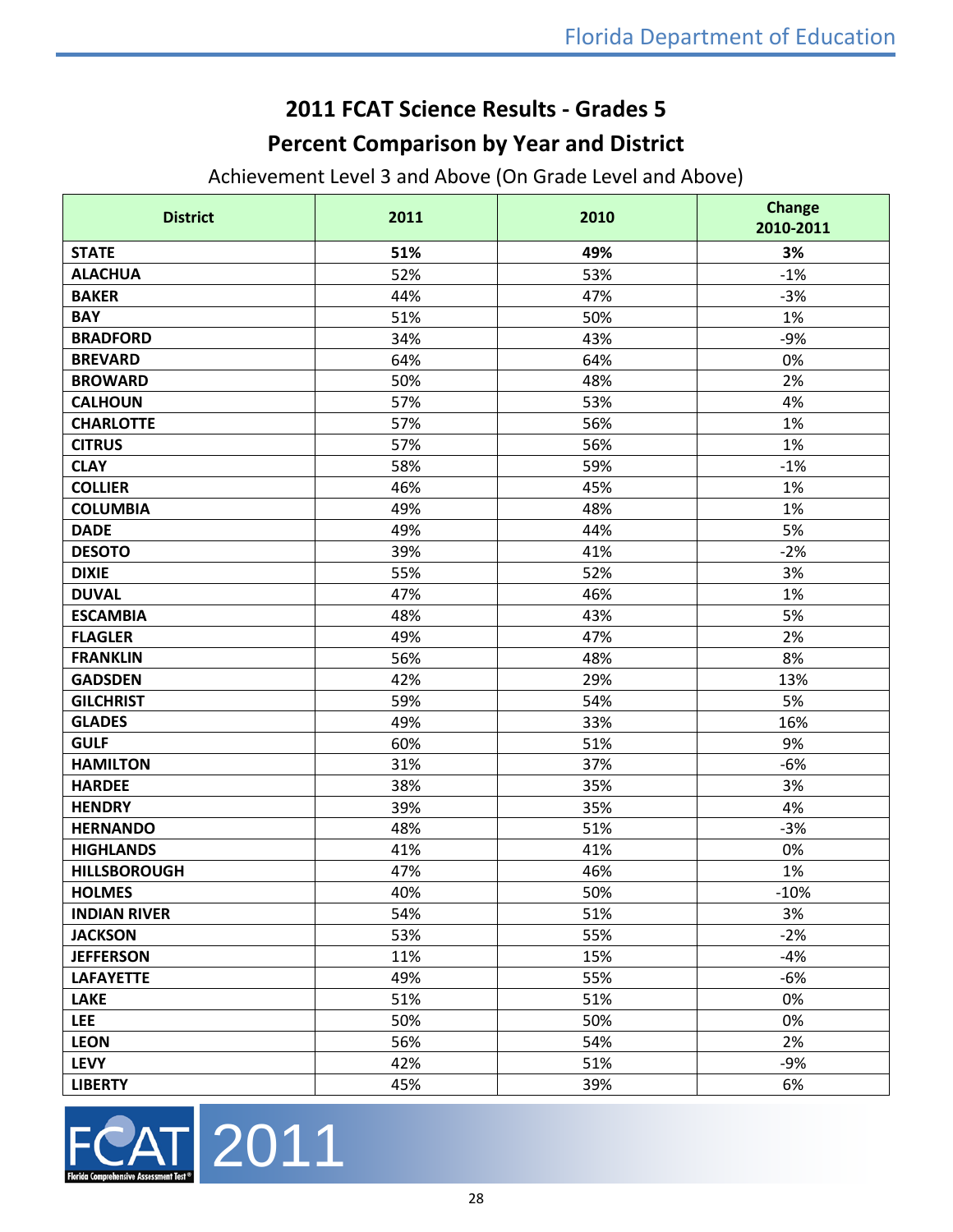## **2011 FCAT Science Results - Grades 5**

## **Percent Comparison by Year and District**

Achievement Level 3 and Above (On Grade Level and Above)

| <b>District</b>     | 2011 | 2010 | <b>Change</b><br>2010-2011 |  |
|---------------------|------|------|----------------------------|--|
| <b>STATE</b>        | 51%  | 49%  | 3%                         |  |
| <b>ALACHUA</b>      | 52%  | 53%  | $-1%$                      |  |
| <b>BAKER</b>        | 44%  | 47%  | $-3%$                      |  |
| <b>BAY</b>          | 51%  | 50%  | 1%                         |  |
| <b>BRADFORD</b>     | 34%  | 43%  | $-9%$                      |  |
| <b>BREVARD</b>      | 64%  | 64%  | 0%                         |  |
| <b>BROWARD</b>      | 50%  | 48%  | 2%                         |  |
| <b>CALHOUN</b>      | 57%  | 53%  | 4%                         |  |
| <b>CHARLOTTE</b>    | 57%  | 56%  | 1%                         |  |
| <b>CITRUS</b>       | 57%  | 56%  | 1%                         |  |
| <b>CLAY</b>         | 58%  | 59%  | $-1%$                      |  |
| <b>COLLIER</b>      | 46%  | 45%  | 1%                         |  |
| <b>COLUMBIA</b>     | 49%  | 48%  | 1%                         |  |
| <b>DADE</b>         | 49%  | 44%  | 5%                         |  |
| <b>DESOTO</b>       | 39%  | 41%  | $-2%$                      |  |
| <b>DIXIE</b>        | 55%  | 52%  | 3%                         |  |
| <b>DUVAL</b>        | 47%  | 46%  | 1%                         |  |
| <b>ESCAMBIA</b>     | 48%  | 43%  | 5%                         |  |
| <b>FLAGLER</b>      | 49%  | 47%  | 2%                         |  |
| <b>FRANKLIN</b>     | 56%  | 48%  | 8%                         |  |
| <b>GADSDEN</b>      | 42%  | 29%  | 13%                        |  |
| <b>GILCHRIST</b>    | 59%  | 54%  | 5%                         |  |
| <b>GLADES</b>       | 49%  | 33%  | 16%                        |  |
| <b>GULF</b>         | 60%  | 51%  | 9%                         |  |
| <b>HAMILTON</b>     | 31%  | 37%  | $-6%$                      |  |
| <b>HARDEE</b>       | 38%  | 35%  | 3%                         |  |
| <b>HENDRY</b>       | 39%  | 35%  | 4%                         |  |
| <b>HERNANDO</b>     | 48%  | 51%  | $-3%$                      |  |
| <b>HIGHLANDS</b>    | 41%  | 41%  | 0%                         |  |
| <b>HILLSBOROUGH</b> | 47%  | 46%  | 1%                         |  |
| <b>HOLMES</b>       | 40%  | 50%  | $-10%$                     |  |
| <b>INDIAN RIVER</b> | 54%  | 51%  | 3%                         |  |
| <b>JACKSON</b>      | 53%  | 55%  | $-2%$                      |  |
| <b>JEFFERSON</b>    | 11%  | 15%  | $-4%$                      |  |
| <b>LAFAYETTE</b>    | 49%  | 55%  | $-6%$                      |  |
| <b>LAKE</b>         | 51%  | 51%  | 0%                         |  |
| <b>LEE</b>          | 50%  | 50%  | 0%                         |  |
| <b>LEON</b>         | 56%  | 54%  | 2%                         |  |
| <b>LEVY</b>         | 42%  | 51%  | $-9%$                      |  |
| <b>LIBERTY</b>      | 45%  | 39%  | 6%                         |  |

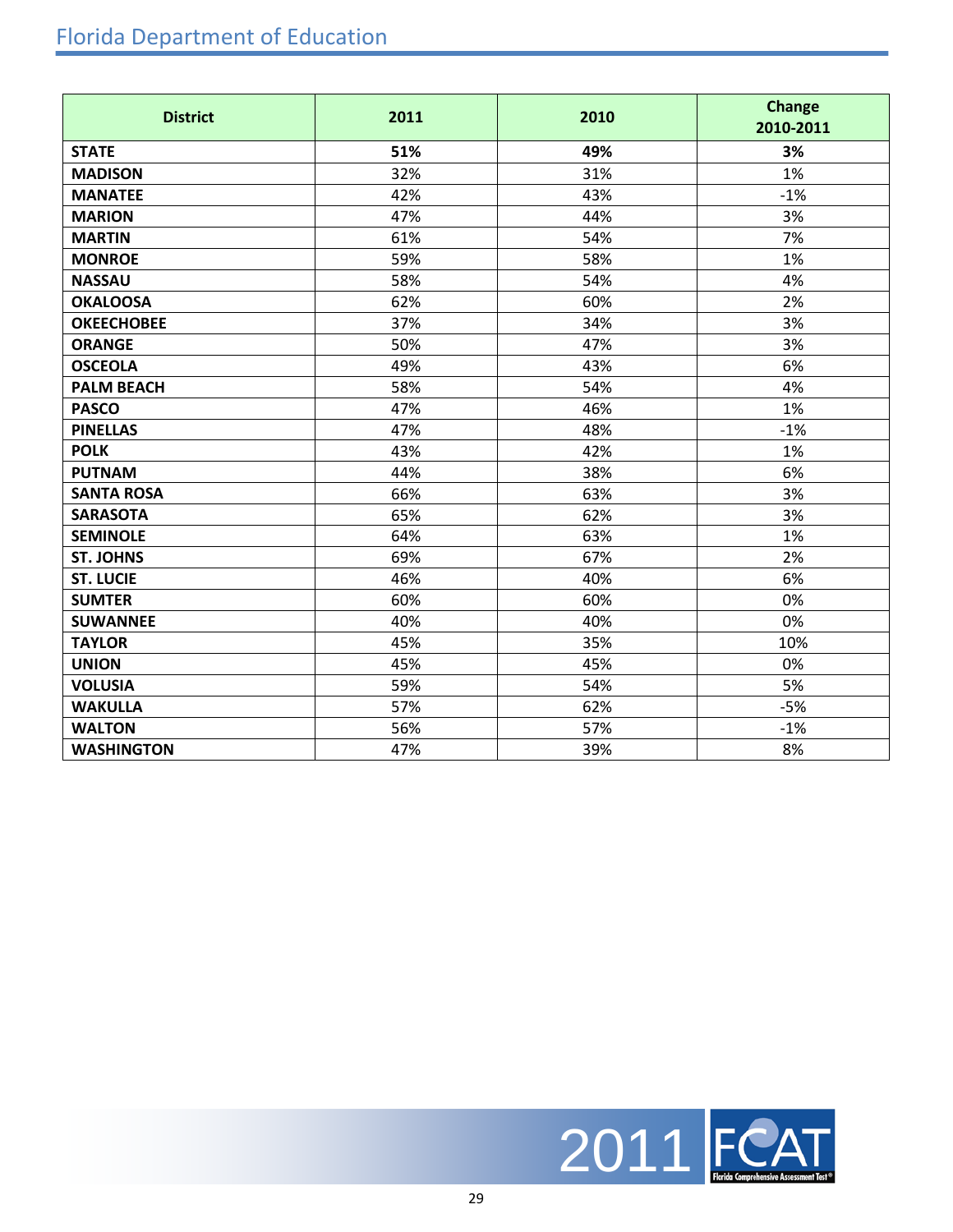## Florida Department of Education

| <b>District</b>   | 2011 | 2010 | <b>Change</b><br>2010-2011 |
|-------------------|------|------|----------------------------|
| <b>STATE</b>      | 51%  | 49%  | 3%                         |
| <b>MADISON</b>    | 32%  | 31%  | 1%                         |
| <b>MANATEE</b>    | 42%  | 43%  | $-1%$                      |
| <b>MARION</b>     | 47%  | 44%  | 3%                         |
| <b>MARTIN</b>     | 61%  | 54%  | 7%                         |
| <b>MONROE</b>     | 59%  | 58%  | 1%                         |
| <b>NASSAU</b>     | 58%  | 54%  | 4%                         |
| <b>OKALOOSA</b>   | 62%  | 60%  | 2%                         |
| <b>OKEECHOBEE</b> | 37%  | 34%  | 3%                         |
| <b>ORANGE</b>     | 50%  | 47%  | 3%                         |
| <b>OSCEOLA</b>    | 49%  | 43%  | 6%                         |
| <b>PALM BEACH</b> | 58%  | 54%  | 4%                         |
| <b>PASCO</b>      | 47%  | 46%  | 1%                         |
| <b>PINELLAS</b>   | 47%  | 48%  | $-1%$                      |
| <b>POLK</b>       | 43%  | 42%  | 1%                         |
| <b>PUTNAM</b>     | 44%  | 38%  | 6%                         |
| <b>SANTA ROSA</b> | 66%  | 63%  | 3%                         |
| <b>SARASOTA</b>   | 65%  | 62%  | 3%                         |
| <b>SEMINOLE</b>   | 64%  | 63%  | 1%                         |
| <b>ST. JOHNS</b>  | 69%  | 67%  | 2%                         |
| <b>ST. LUCIE</b>  | 46%  | 40%  | 6%                         |
| <b>SUMTER</b>     | 60%  | 60%  | 0%                         |
| <b>SUWANNEE</b>   | 40%  | 40%  | 0%                         |
| <b>TAYLOR</b>     | 45%  | 35%  | 10%                        |
| <b>UNION</b>      | 45%  | 45%  | 0%                         |
| <b>VOLUSIA</b>    | 59%  | 54%  | 5%                         |
| <b>WAKULLA</b>    | 57%  | 62%  | $-5%$                      |
| <b>WALTON</b>     | 56%  | 57%  | $-1%$                      |
| <b>WASHINGTON</b> | 47%  | 39%  | 8%                         |

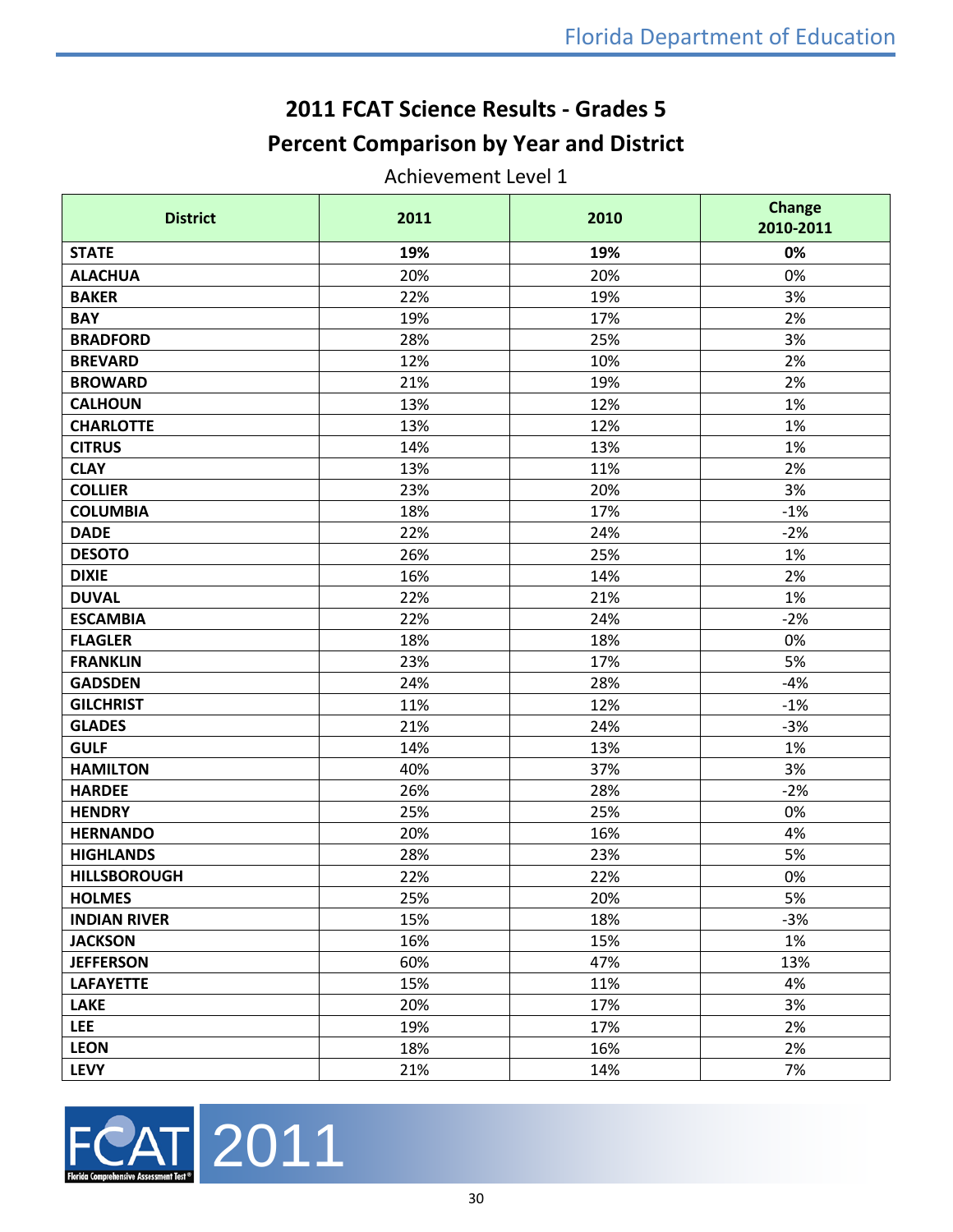## **2011 FCAT Science Results - Grades 5 Percent Comparison by Year and District**

#### Achievement Level 1

| <b>District</b>     | 2011 | 2010 | <b>Change</b><br>2010-2011 |  |
|---------------------|------|------|----------------------------|--|
| <b>STATE</b>        | 19%  | 19%  | 0%                         |  |
| <b>ALACHUA</b>      | 20%  | 20%  | 0%                         |  |
| <b>BAKER</b>        | 22%  | 19%  | 3%                         |  |
| <b>BAY</b>          | 19%  | 17%  | 2%                         |  |
| <b>BRADFORD</b>     | 28%  | 25%  | 3%                         |  |
| <b>BREVARD</b>      | 12%  | 10%  | 2%                         |  |
| <b>BROWARD</b>      | 21%  | 19%  | 2%                         |  |
| <b>CALHOUN</b>      | 13%  | 12%  | 1%                         |  |
| <b>CHARLOTTE</b>    | 13%  | 12%  | 1%                         |  |
| <b>CITRUS</b>       | 14%  | 13%  | 1%                         |  |
| <b>CLAY</b>         | 13%  | 11%  | 2%                         |  |
| <b>COLLIER</b>      | 23%  | 20%  | 3%                         |  |
| <b>COLUMBIA</b>     | 18%  | 17%  | $-1%$                      |  |
| <b>DADE</b>         | 22%  | 24%  | $-2%$                      |  |
| <b>DESOTO</b>       | 26%  | 25%  | 1%                         |  |
| <b>DIXIE</b>        | 16%  | 14%  | 2%                         |  |
| <b>DUVAL</b>        | 22%  | 21%  | 1%                         |  |
| <b>ESCAMBIA</b>     | 22%  | 24%  | $-2%$                      |  |
| <b>FLAGLER</b>      | 18%  | 18%  | 0%                         |  |
| <b>FRANKLIN</b>     | 23%  | 17%  | 5%                         |  |
| <b>GADSDEN</b>      | 24%  | 28%  | $-4%$                      |  |
| <b>GILCHRIST</b>    | 11%  | 12%  | $-1%$                      |  |
| <b>GLADES</b>       | 21%  | 24%  | $-3%$                      |  |
| <b>GULF</b>         | 14%  | 13%  | 1%                         |  |
| <b>HAMILTON</b>     | 40%  | 37%  | 3%                         |  |
| <b>HARDEE</b>       | 26%  | 28%  | $-2%$                      |  |
| <b>HENDRY</b>       | 25%  | 25%  | 0%                         |  |
| <b>HERNANDO</b>     | 20%  | 16%  | 4%                         |  |
| <b>HIGHLANDS</b>    | 28%  | 23%  | 5%                         |  |
| <b>HILLSBOROUGH</b> | 22%  | 22%  | 0%                         |  |
| <b>HOLMES</b>       | 25%  | 20%  | 5%                         |  |
| <b>INDIAN RIVER</b> | 15%  | 18%  | $-3%$                      |  |
| <b>JACKSON</b>      | 16%  | 15%  | 1%                         |  |
| <b>JEFFERSON</b>    | 60%  | 47%  | 13%                        |  |
| <b>LAFAYETTE</b>    | 15%  | 11%  | 4%                         |  |
| <b>LAKE</b>         | 20%  | 17%  | 3%                         |  |
| <b>LEE</b>          | 19%  | 17%  | 2%                         |  |
| <b>LEON</b>         | 18%  | 16%  | 2%                         |  |
| <b>LEVY</b>         | 21%  | 14%  | 7%                         |  |

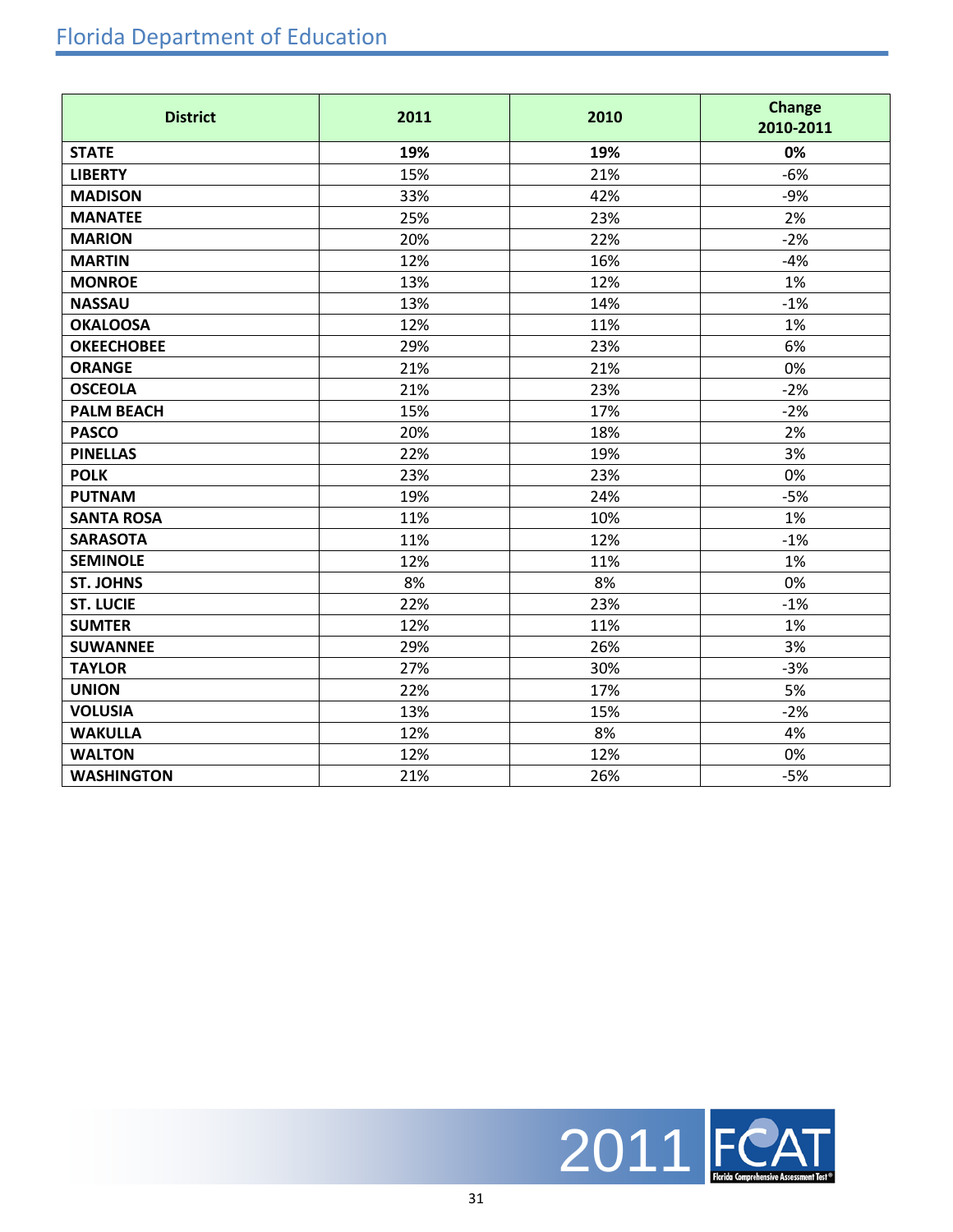## Florida Department of Education

| <b>District</b>   | 2011<br>2010 |     | <b>Change</b><br>2010-2011 |
|-------------------|--------------|-----|----------------------------|
| <b>STATE</b>      | 19%          | 19% | 0%                         |
| <b>LIBERTY</b>    | 15%          | 21% | $-6%$                      |
| <b>MADISON</b>    | 33%          | 42% | $-9%$                      |
| <b>MANATEE</b>    | 25%          | 23% | 2%                         |
| <b>MARION</b>     | 20%          | 22% | $-2%$                      |
| <b>MARTIN</b>     | 12%          | 16% | $-4%$                      |
| <b>MONROE</b>     | 13%          | 12% | 1%                         |
| <b>NASSAU</b>     | 13%          | 14% | $-1%$                      |
| <b>OKALOOSA</b>   | 12%          | 11% | 1%                         |
| <b>OKEECHOBEE</b> | 29%          | 23% | 6%                         |
| <b>ORANGE</b>     | 21%          | 21% | 0%                         |
| <b>OSCEOLA</b>    | 21%          | 23% | $-2%$                      |
| <b>PALM BEACH</b> | 15%          | 17% | $-2%$                      |
| <b>PASCO</b>      | 20%          | 18% | 2%                         |
| <b>PINELLAS</b>   | 22%          | 19% | 3%                         |
| <b>POLK</b>       | 23%          | 23% | 0%                         |
| <b>PUTNAM</b>     | 19%          | 24% | $-5%$                      |
| <b>SANTA ROSA</b> | 11%          | 10% | 1%                         |
| <b>SARASOTA</b>   | 11%          | 12% | $-1%$                      |
| <b>SEMINOLE</b>   | 12%          | 11% | 1%                         |
| <b>ST. JOHNS</b>  | 8%           | 8%  | 0%                         |
| <b>ST. LUCIE</b>  | 22%          | 23% | $-1%$                      |
| <b>SUMTER</b>     | 12%          | 11% | 1%                         |
| <b>SUWANNEE</b>   | 29%          | 26% | 3%                         |
| <b>TAYLOR</b>     | 27%          | 30% | $-3%$                      |
| <b>UNION</b>      | 22%          | 17% | 5%                         |
| <b>VOLUSIA</b>    | 13%          | 15% | $-2%$                      |
| <b>WAKULLA</b>    | 12%          | 8%  | 4%                         |
| <b>WALTON</b>     | 12%          | 12% | 0%                         |
| <b>WASHINGTON</b> | 21%          | 26% | $-5%$                      |

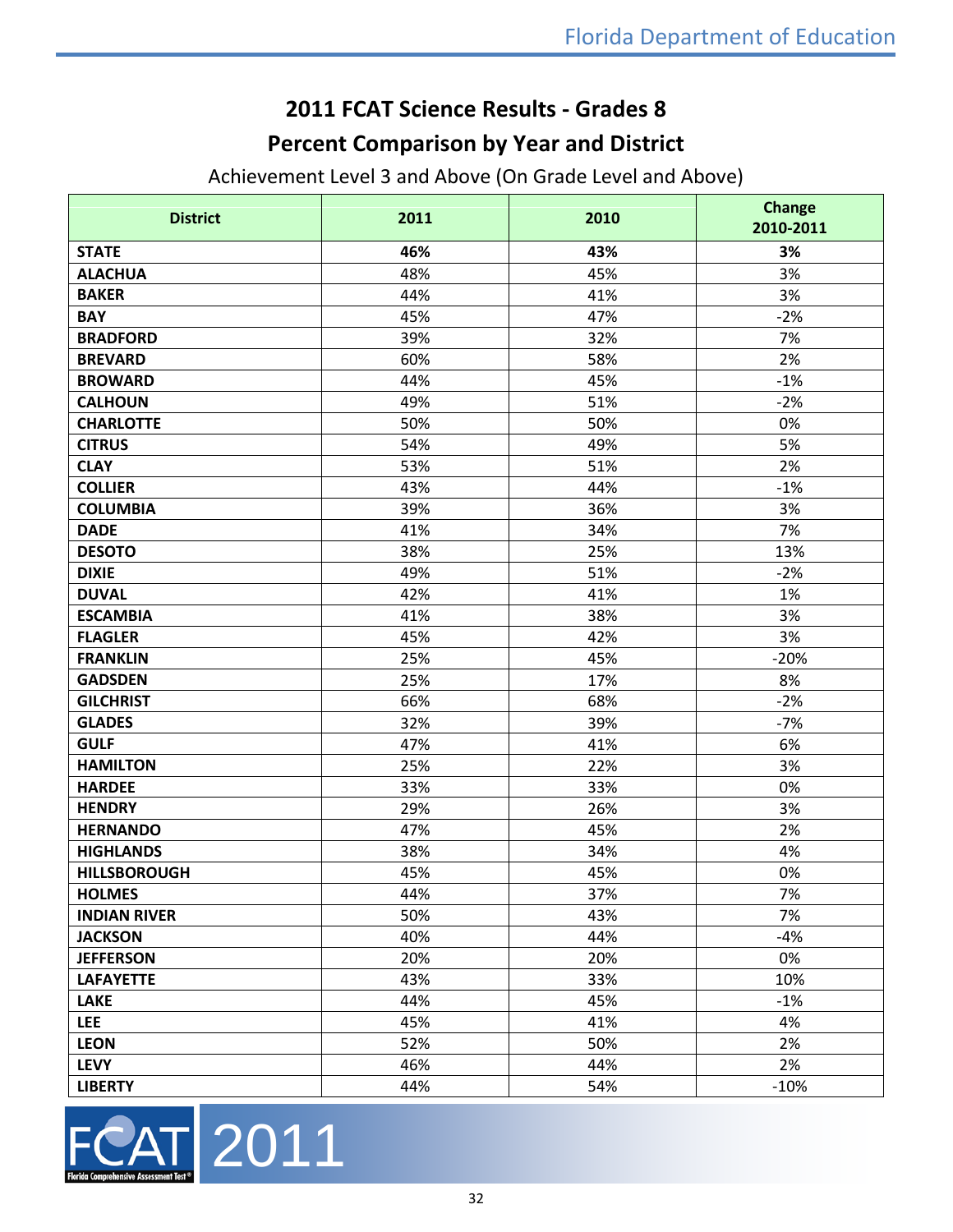## **2011 FCAT Science Results - Grades 8**

## **Percent Comparison by Year and District**

Achievement Level 3 and Above (On Grade Level and Above)

| <b>District</b>     | 2011 | 2010 | <b>Change</b><br>2010-2011 |
|---------------------|------|------|----------------------------|
| <b>STATE</b>        | 46%  | 43%  | 3%                         |
| <b>ALACHUA</b>      | 48%  | 45%  | 3%                         |
| <b>BAKER</b>        | 44%  | 41%  | 3%                         |
| <b>BAY</b>          | 45%  | 47%  | $-2%$                      |
| <b>BRADFORD</b>     | 39%  | 32%  | 7%                         |
| <b>BREVARD</b>      | 60%  | 58%  | 2%                         |
| <b>BROWARD</b>      | 44%  | 45%  | $-1%$                      |
| <b>CALHOUN</b>      | 49%  | 51%  | $-2%$                      |
| <b>CHARLOTTE</b>    | 50%  | 50%  | 0%                         |
| <b>CITRUS</b>       | 54%  | 49%  | 5%                         |
| <b>CLAY</b>         | 53%  | 51%  | 2%                         |
| <b>COLLIER</b>      | 43%  | 44%  | $-1%$                      |
| <b>COLUMBIA</b>     | 39%  | 36%  | 3%                         |
| <b>DADE</b>         | 41%  | 34%  | 7%                         |
| <b>DESOTO</b>       | 38%  | 25%  | 13%                        |
| <b>DIXIE</b>        | 49%  | 51%  | $-2%$                      |
| <b>DUVAL</b>        | 42%  | 41%  | 1%                         |
| <b>ESCAMBIA</b>     | 41%  | 38%  | 3%                         |
| <b>FLAGLER</b>      | 45%  | 42%  | 3%                         |
| <b>FRANKLIN</b>     | 25%  | 45%  | $-20%$                     |
| <b>GADSDEN</b>      | 25%  | 17%  | 8%                         |
| <b>GILCHRIST</b>    | 66%  | 68%  | $-2%$                      |
| <b>GLADES</b>       | 32%  | 39%  | $-7%$                      |
| <b>GULF</b>         | 47%  | 41%  | 6%                         |
| <b>HAMILTON</b>     | 25%  | 22%  | 3%                         |
| <b>HARDEE</b>       | 33%  | 33%  | 0%                         |
| <b>HENDRY</b>       | 29%  | 26%  | 3%                         |
| <b>HERNANDO</b>     | 47%  | 45%  | 2%                         |
| <b>HIGHLANDS</b>    | 38%  | 34%  | 4%                         |
| <b>HILLSBOROUGH</b> | 45%  | 45%  | 0%                         |
| <b>HOLMES</b>       | 44%  | 37%  | 7%                         |
| <b>INDIAN RIVER</b> | 50%  | 43%  | 7%                         |
| <b>JACKSON</b>      | 40%  | 44%  | $-4%$                      |
| <b>JEFFERSON</b>    | 20%  | 20%  | 0%                         |
| <b>LAFAYETTE</b>    | 43%  | 33%  | 10%                        |
| <b>LAKE</b>         | 44%  | 45%  | $-1%$                      |
| <b>LEE</b>          | 45%  | 41%  | 4%                         |
| <b>LEON</b>         | 52%  | 50%  | 2%                         |
| <b>LEVY</b>         | 46%  | 44%  | 2%                         |
| <b>LIBERTY</b>      | 44%  | 54%  | $-10%$                     |

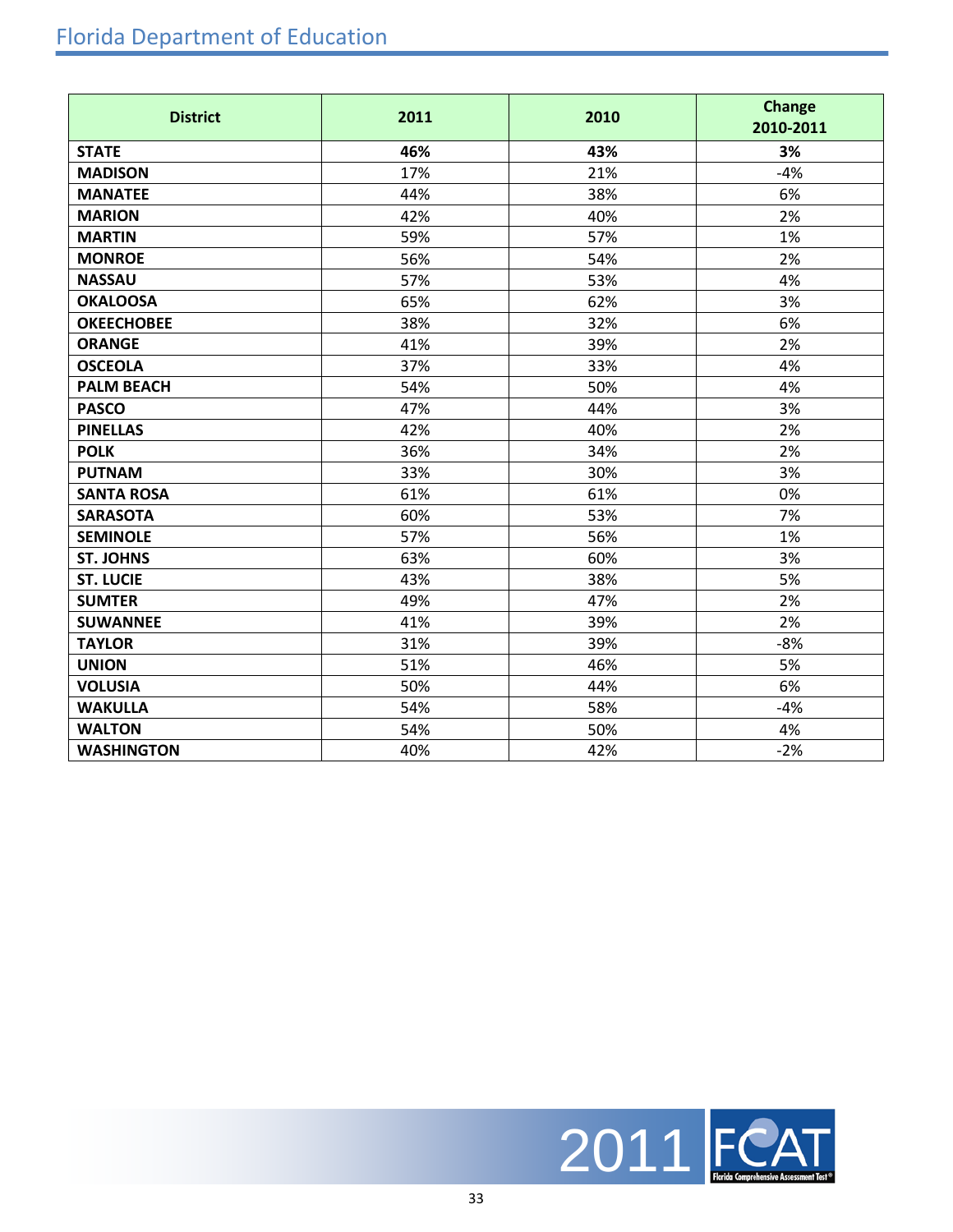## Florida Department of Education

| <b>District</b>   | 2011 | 2010 | <b>Change</b><br>2010-2011 |
|-------------------|------|------|----------------------------|
| <b>STATE</b>      | 46%  | 43%  | 3%                         |
| <b>MADISON</b>    | 17%  | 21%  | $-4%$                      |
| <b>MANATEE</b>    | 44%  | 38%  | 6%                         |
| <b>MARION</b>     | 42%  | 40%  | 2%                         |
| <b>MARTIN</b>     | 59%  | 57%  | 1%                         |
| <b>MONROE</b>     | 56%  | 54%  | 2%                         |
| <b>NASSAU</b>     | 57%  | 53%  | 4%                         |
| <b>OKALOOSA</b>   | 65%  | 62%  | 3%                         |
| <b>OKEECHOBEE</b> | 38%  | 32%  | 6%                         |
| <b>ORANGE</b>     | 41%  | 39%  | 2%                         |
| <b>OSCEOLA</b>    | 37%  | 33%  | 4%                         |
| <b>PALM BEACH</b> | 54%  | 50%  | 4%                         |
| <b>PASCO</b>      | 47%  | 44%  | 3%                         |
| <b>PINELLAS</b>   | 42%  | 40%  | 2%                         |
| <b>POLK</b>       | 36%  | 34%  | 2%                         |
| <b>PUTNAM</b>     | 33%  | 30%  | 3%                         |
| <b>SANTA ROSA</b> | 61%  | 61%  | 0%                         |
| <b>SARASOTA</b>   | 60%  | 53%  | 7%                         |
| <b>SEMINOLE</b>   | 57%  | 56%  | 1%                         |
| <b>ST. JOHNS</b>  | 63%  | 60%  | 3%                         |
| <b>ST. LUCIE</b>  | 43%  | 38%  | 5%                         |
| <b>SUMTER</b>     | 49%  | 47%  | 2%                         |
| <b>SUWANNEE</b>   | 41%  | 39%  | 2%                         |
| <b>TAYLOR</b>     | 31%  | 39%  | $-8%$                      |
| <b>UNION</b>      | 51%  | 46%  | 5%                         |
| <b>VOLUSIA</b>    | 50%  | 44%  | 6%                         |
| <b>WAKULLA</b>    | 54%  | 58%  | $-4%$                      |
| <b>WALTON</b>     | 54%  | 50%  | 4%                         |
| <b>WASHINGTON</b> | 40%  | 42%  | $-2%$                      |

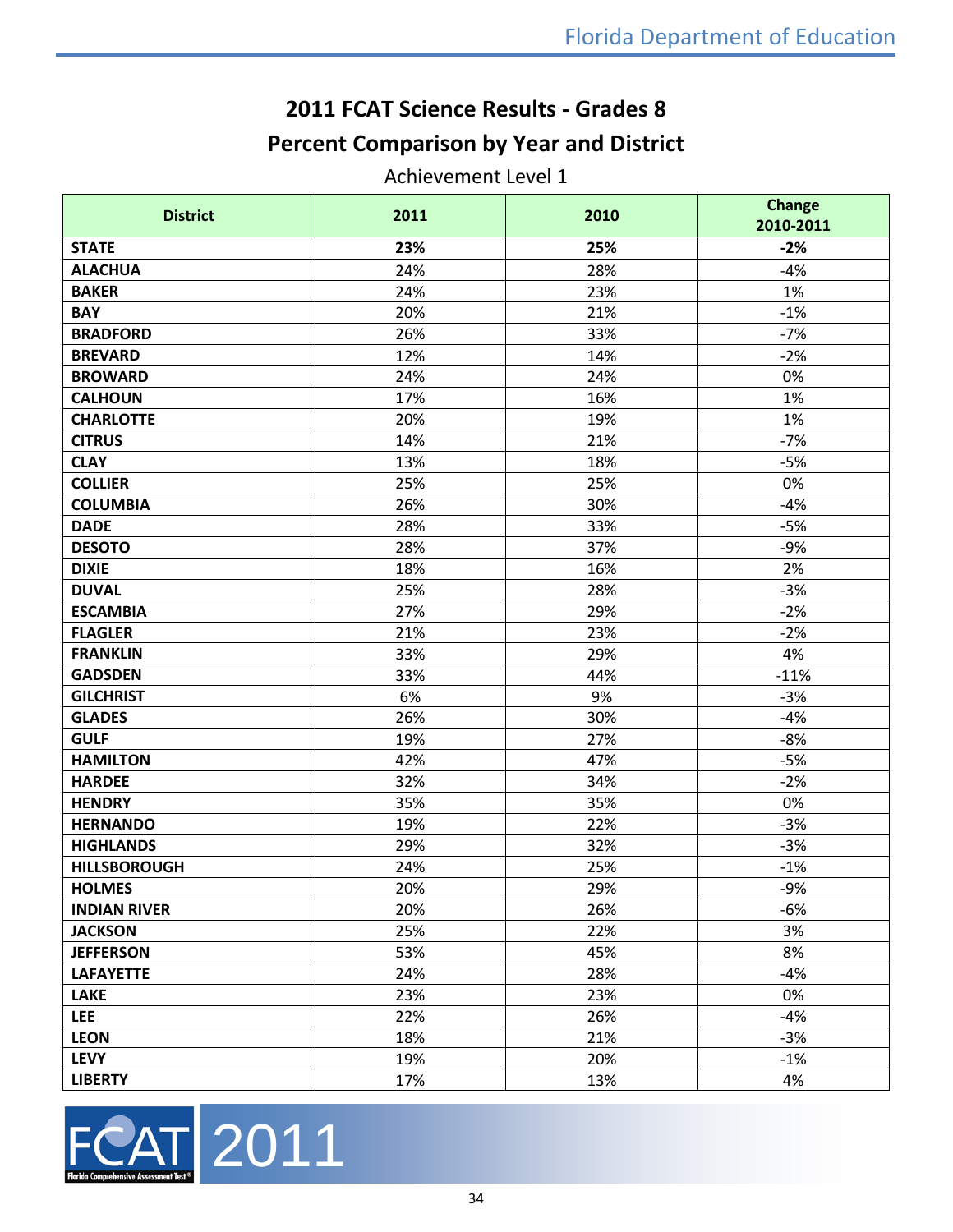## **2011 FCAT Science Results - Grades 8 Percent Comparison by Year and District**

Achievement Level 1

| <b>District</b>     | 2011 | 2010 | <b>Change</b><br>2010-2011 |
|---------------------|------|------|----------------------------|
| <b>STATE</b>        | 23%  | 25%  | $-2%$                      |
| <b>ALACHUA</b>      | 24%  | 28%  | $-4%$                      |
| <b>BAKER</b>        | 24%  | 23%  | 1%                         |
| <b>BAY</b>          | 20%  | 21%  | $-1%$                      |
| <b>BRADFORD</b>     | 26%  | 33%  | $-7%$                      |
| <b>BREVARD</b>      | 12%  | 14%  | $-2%$                      |
| <b>BROWARD</b>      | 24%  | 24%  | 0%                         |
| <b>CALHOUN</b>      | 17%  | 16%  | 1%                         |
| <b>CHARLOTTE</b>    | 20%  | 19%  | 1%                         |
| <b>CITRUS</b>       | 14%  | 21%  | $-7%$                      |
| <b>CLAY</b>         | 13%  | 18%  | $-5%$                      |
| <b>COLLIER</b>      | 25%  | 25%  | 0%                         |
| <b>COLUMBIA</b>     | 26%  | 30%  | $-4%$                      |
| <b>DADE</b>         | 28%  | 33%  | $-5%$                      |
| <b>DESOTO</b>       | 28%  | 37%  | $-9%$                      |
| <b>DIXIE</b>        | 18%  | 16%  | 2%                         |
| <b>DUVAL</b>        | 25%  | 28%  | $-3%$                      |
| <b>ESCAMBIA</b>     | 27%  | 29%  | $-2%$                      |
| <b>FLAGLER</b>      | 21%  | 23%  | $-2%$                      |
| <b>FRANKLIN</b>     | 33%  | 29%  | 4%                         |
| <b>GADSDEN</b>      | 33%  | 44%  | $-11%$                     |
| <b>GILCHRIST</b>    | 6%   | 9%   | $-3%$                      |
| <b>GLADES</b>       | 26%  | 30%  | $-4%$                      |
| <b>GULF</b>         | 19%  | 27%  | $-8%$                      |
| <b>HAMILTON</b>     | 42%  | 47%  | $-5%$                      |
| <b>HARDEE</b>       | 32%  | 34%  | $-2%$                      |
| <b>HENDRY</b>       | 35%  | 35%  | 0%                         |
| <b>HERNANDO</b>     | 19%  | 22%  | $-3%$                      |
| <b>HIGHLANDS</b>    | 29%  | 32%  | $-3%$                      |
| <b>HILLSBOROUGH</b> | 24%  | 25%  | $-1%$                      |
| <b>HOLMES</b>       | 20%  | 29%  | $-9%$                      |
| <b>INDIAN RIVER</b> | 20%  | 26%  | $-6%$                      |
| <b>JACKSON</b>      | 25%  | 22%  | 3%                         |
| <b>JEFFERSON</b>    | 53%  | 45%  | 8%                         |
| <b>LAFAYETTE</b>    | 24%  | 28%  | $-4%$                      |
| <b>LAKE</b>         | 23%  | 23%  | 0%                         |
| <b>LEE</b>          | 22%  | 26%  | $-4%$                      |
| <b>LEON</b>         | 18%  | 21%  | $-3%$                      |
| <b>LEVY</b>         | 19%  | 20%  | $-1%$                      |
| <b>LIBERTY</b>      | 17%  | 13%  | 4%                         |

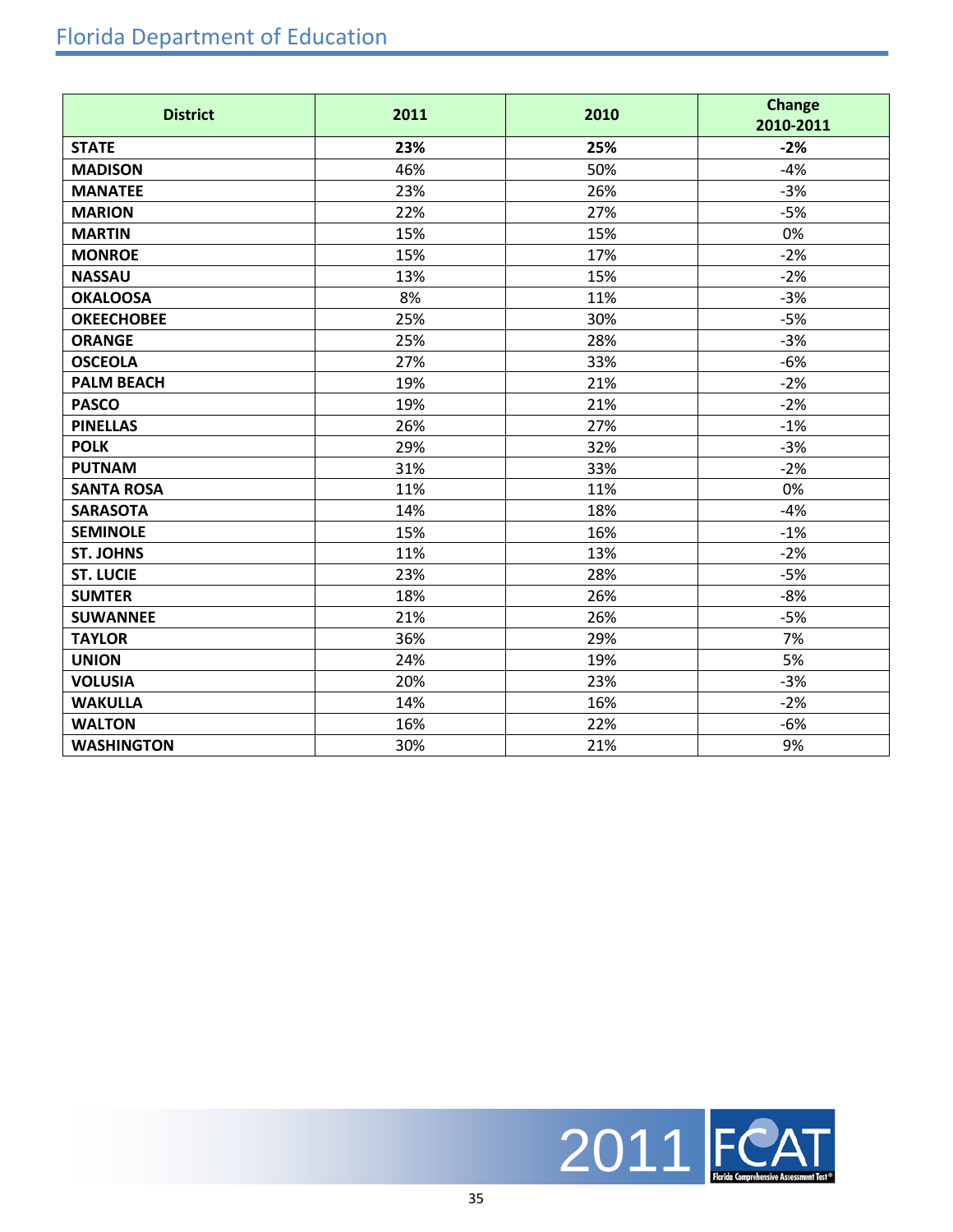## Florida Department of Education

| <b>District</b>   | 2011 | 2010 | <b>Change</b><br>2010-2011 |
|-------------------|------|------|----------------------------|
| <b>STATE</b>      | 23%  | 25%  | $-2%$                      |
| <b>MADISON</b>    | 46%  | 50%  | $-4%$                      |
| <b>MANATEE</b>    | 23%  | 26%  | $-3%$                      |
| <b>MARION</b>     | 22%  | 27%  | $-5%$                      |
| <b>MARTIN</b>     | 15%  | 15%  | 0%                         |
| <b>MONROE</b>     | 15%  | 17%  | $-2%$                      |
| <b>NASSAU</b>     | 13%  | 15%  | $-2%$                      |
| <b>OKALOOSA</b>   | 8%   | 11%  | $-3%$                      |
| <b>OKEECHOBEE</b> | 25%  | 30%  | $-5%$                      |
| <b>ORANGE</b>     | 25%  | 28%  | $-3%$                      |
| <b>OSCEOLA</b>    | 27%  | 33%  | $-6%$                      |
| <b>PALM BEACH</b> | 19%  | 21%  | $-2%$                      |
| <b>PASCO</b>      | 19%  | 21%  | $-2%$                      |
| <b>PINELLAS</b>   | 26%  | 27%  | $-1%$                      |
| <b>POLK</b>       | 29%  | 32%  | $-3%$                      |
| <b>PUTNAM</b>     | 31%  | 33%  | $-2%$                      |
| <b>SANTA ROSA</b> | 11%  | 11%  | 0%                         |
| <b>SARASOTA</b>   | 14%  | 18%  | $-4%$                      |
| <b>SEMINOLE</b>   | 15%  | 16%  | $-1%$                      |
| <b>ST. JOHNS</b>  | 11%  | 13%  | $-2%$                      |
| <b>ST. LUCIE</b>  | 23%  | 28%  | $-5%$                      |
| <b>SUMTER</b>     | 18%  | 26%  | $-8%$                      |
| <b>SUWANNEE</b>   | 21%  | 26%  | $-5%$                      |
| <b>TAYLOR</b>     | 36%  | 29%  | 7%                         |
| <b>UNION</b>      | 24%  | 19%  | 5%                         |
| <b>VOLUSIA</b>    | 20%  | 23%  | $-3%$                      |
| <b>WAKULLA</b>    | 14%  | 16%  | $-2%$                      |
| <b>WALTON</b>     | 16%  | 22%  | $-6%$                      |
| <b>WASHINGTON</b> | 30%  | 21%  | 9%                         |

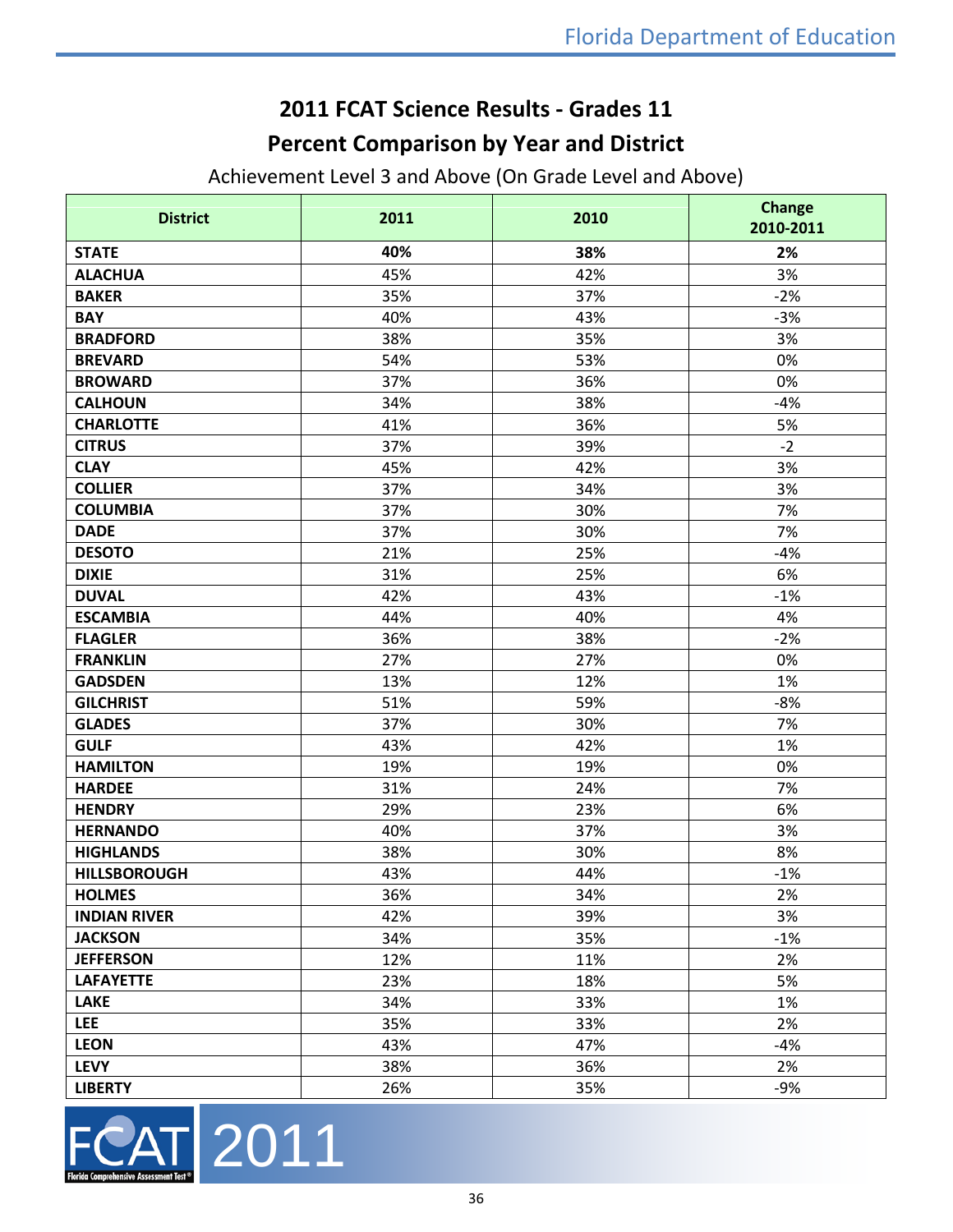## **2011 FCAT Science Results - Grades 11 Percent Comparison by Year and District**

Achievement Level 3 and Above (On Grade Level and Above)

| <b>District</b>     | 2011 | 2010 | <b>Change</b><br>2010-2011 |
|---------------------|------|------|----------------------------|
| <b>STATE</b>        | 40%  | 38%  | 2%                         |
| <b>ALACHUA</b>      | 45%  | 42%  | 3%                         |
| <b>BAKER</b>        | 35%  | 37%  | $-2%$                      |
| <b>BAY</b>          | 40%  | 43%  | $-3%$                      |
| <b>BRADFORD</b>     | 38%  | 35%  | 3%                         |
| <b>BREVARD</b>      | 54%  | 53%  | 0%                         |
| <b>BROWARD</b>      | 37%  | 36%  | 0%                         |
| <b>CALHOUN</b>      | 34%  | 38%  | $-4%$                      |
| <b>CHARLOTTE</b>    | 41%  | 36%  | 5%                         |
| <b>CITRUS</b>       | 37%  | 39%  | $-2$                       |
| <b>CLAY</b>         | 45%  | 42%  | 3%                         |
| <b>COLLIER</b>      | 37%  | 34%  | 3%                         |
| <b>COLUMBIA</b>     | 37%  | 30%  | 7%                         |
| <b>DADE</b>         | 37%  | 30%  | 7%                         |
| <b>DESOTO</b>       | 21%  | 25%  | $-4%$                      |
| <b>DIXIE</b>        | 31%  | 25%  | 6%                         |
| <b>DUVAL</b>        | 42%  | 43%  | $-1%$                      |
| <b>ESCAMBIA</b>     | 44%  | 40%  | 4%                         |
| <b>FLAGLER</b>      | 36%  | 38%  | $-2%$                      |
| <b>FRANKLIN</b>     | 27%  | 27%  | 0%                         |
| <b>GADSDEN</b>      | 13%  | 12%  | 1%                         |
| <b>GILCHRIST</b>    | 51%  | 59%  | $-8%$                      |
| <b>GLADES</b>       | 37%  | 30%  | 7%                         |
| <b>GULF</b>         | 43%  | 42%  | 1%                         |
| <b>HAMILTON</b>     | 19%  | 19%  | 0%                         |
| <b>HARDEE</b>       | 31%  | 24%  | 7%                         |
| <b>HENDRY</b>       | 29%  | 23%  | 6%                         |
| <b>HERNANDO</b>     | 40%  | 37%  | 3%                         |
| <b>HIGHLANDS</b>    | 38%  | 30%  | 8%                         |
| <b>HILLSBOROUGH</b> | 43%  | 44%  | $-1%$                      |
| <b>HOLMES</b>       | 36%  | 34%  | 2%                         |
| <b>INDIAN RIVER</b> | 42%  | 39%  | 3%                         |
| <b>JACKSON</b>      | 34%  | 35%  | $-1%$                      |
| <b>JEFFERSON</b>    | 12%  | 11%  | 2%                         |
| <b>LAFAYETTE</b>    | 23%  | 18%  | 5%                         |
| <b>LAKE</b>         | 34%  | 33%  | 1%                         |
| <b>LEE</b>          | 35%  | 33%  | 2%                         |
| <b>LEON</b>         | 43%  | 47%  | $-4%$                      |
| <b>LEVY</b>         | 38%  | 36%  | 2%                         |
| <b>LIBERTY</b>      | 26%  | 35%  | $-9%$                      |

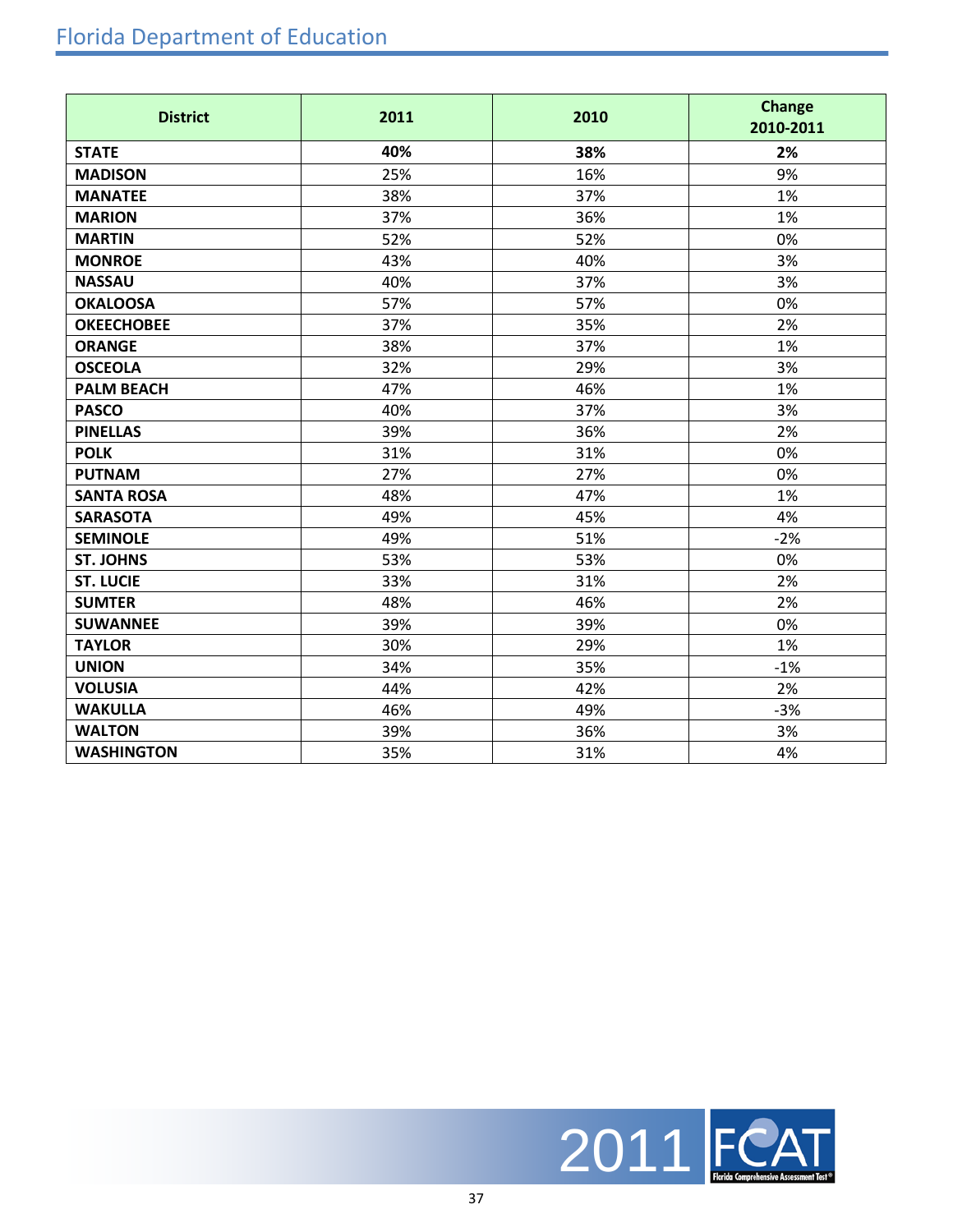| <b>District</b>   | 2011 | 2010 | <b>Change</b><br>2010-2011 |
|-------------------|------|------|----------------------------|
| <b>STATE</b>      | 40%  | 38%  | 2%                         |
| <b>MADISON</b>    | 25%  | 16%  | 9%                         |
| <b>MANATEE</b>    | 38%  | 37%  | 1%                         |
| <b>MARION</b>     | 37%  | 36%  | 1%                         |
| <b>MARTIN</b>     | 52%  | 52%  | 0%                         |
| <b>MONROE</b>     | 43%  | 40%  | 3%                         |
| <b>NASSAU</b>     | 40%  | 37%  | 3%                         |
| <b>OKALOOSA</b>   | 57%  | 57%  | 0%                         |
| <b>OKEECHOBEE</b> | 37%  | 35%  | 2%                         |
| <b>ORANGE</b>     | 38%  | 37%  | 1%                         |
| <b>OSCEOLA</b>    | 32%  | 29%  | 3%                         |
| <b>PALM BEACH</b> | 47%  | 46%  | 1%                         |
| <b>PASCO</b>      | 40%  | 37%  | 3%                         |
| <b>PINELLAS</b>   | 39%  | 36%  | 2%                         |
| <b>POLK</b>       | 31%  | 31%  | 0%                         |
| <b>PUTNAM</b>     | 27%  | 27%  | 0%                         |
| <b>SANTA ROSA</b> | 48%  | 47%  | 1%                         |
| <b>SARASOTA</b>   | 49%  | 45%  | 4%                         |
| <b>SEMINOLE</b>   | 49%  | 51%  | $-2%$                      |
| <b>ST. JOHNS</b>  | 53%  | 53%  | 0%                         |
| <b>ST. LUCIE</b>  | 33%  | 31%  | 2%                         |
| <b>SUMTER</b>     | 48%  | 46%  | 2%                         |
| <b>SUWANNEE</b>   | 39%  | 39%  | 0%                         |
| <b>TAYLOR</b>     | 30%  | 29%  | 1%                         |
| <b>UNION</b>      | 34%  | 35%  | $-1%$                      |
| <b>VOLUSIA</b>    | 44%  | 42%  | 2%                         |
| <b>WAKULLA</b>    | 46%  | 49%  | $-3%$                      |
| <b>WALTON</b>     | 39%  | 36%  | 3%                         |
| <b>WASHINGTON</b> | 35%  | 31%  | 4%                         |

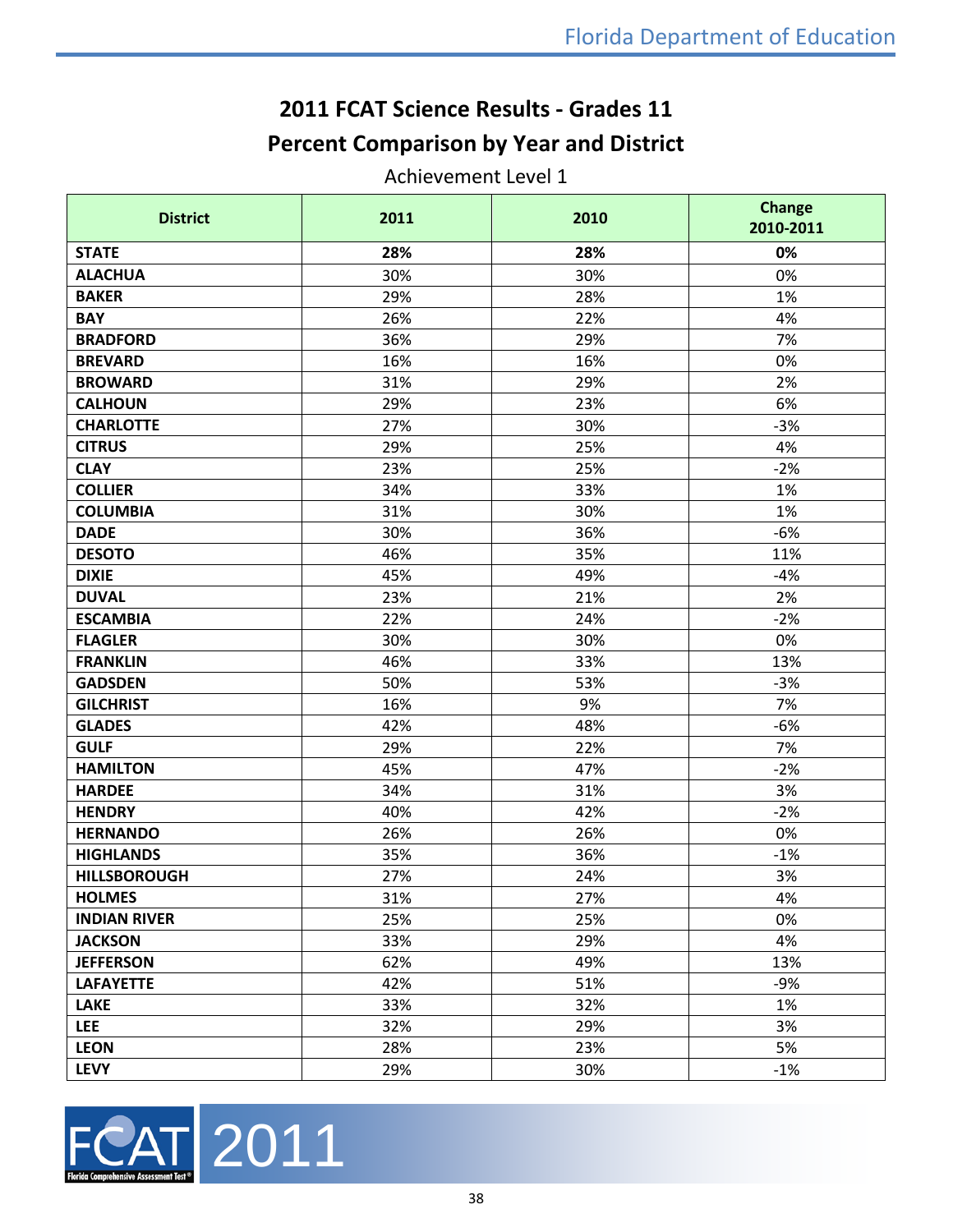## **2011 FCAT Science Results - Grades 11 Percent Comparison by Year and District**

Achievement Level 1

| <b>District</b>     | 2011 | 2010 | <b>Change</b><br>2010-2011 |
|---------------------|------|------|----------------------------|
| <b>STATE</b>        | 28%  | 28%  | 0%                         |
| <b>ALACHUA</b>      | 30%  | 30%  | 0%                         |
| <b>BAKER</b>        | 29%  | 28%  | 1%                         |
| <b>BAY</b>          | 26%  | 22%  | 4%                         |
| <b>BRADFORD</b>     | 36%  | 29%  | 7%                         |
| <b>BREVARD</b>      | 16%  | 16%  | 0%                         |
| <b>BROWARD</b>      | 31%  | 29%  | 2%                         |
| <b>CALHOUN</b>      | 29%  | 23%  | 6%                         |
| <b>CHARLOTTE</b>    | 27%  | 30%  | $-3%$                      |
| <b>CITRUS</b>       | 29%  | 25%  | 4%                         |
| <b>CLAY</b>         | 23%  | 25%  | $-2%$                      |
| <b>COLLIER</b>      | 34%  | 33%  | 1%                         |
| <b>COLUMBIA</b>     | 31%  | 30%  | 1%                         |
| <b>DADE</b>         | 30%  | 36%  | $-6%$                      |
| <b>DESOTO</b>       | 46%  | 35%  | 11%                        |
| <b>DIXIE</b>        | 45%  | 49%  | $-4%$                      |
| <b>DUVAL</b>        | 23%  | 21%  | 2%                         |
| <b>ESCAMBIA</b>     | 22%  | 24%  | $-2%$                      |
| <b>FLAGLER</b>      | 30%  | 30%  | 0%                         |
| <b>FRANKLIN</b>     | 46%  | 33%  | 13%                        |
| <b>GADSDEN</b>      | 50%  | 53%  | $-3%$                      |
| <b>GILCHRIST</b>    | 16%  | 9%   | 7%                         |
| <b>GLADES</b>       | 42%  | 48%  | $-6%$                      |
| <b>GULF</b>         | 29%  | 22%  | 7%                         |
| <b>HAMILTON</b>     | 45%  | 47%  | $-2%$                      |
| <b>HARDEE</b>       | 34%  | 31%  | 3%                         |
| <b>HENDRY</b>       | 40%  | 42%  | $-2%$                      |
| <b>HERNANDO</b>     | 26%  | 26%  | 0%                         |
| <b>HIGHLANDS</b>    | 35%  | 36%  | $-1%$                      |
| <b>HILLSBOROUGH</b> | 27%  | 24%  | 3%                         |
| <b>HOLMES</b>       | 31%  | 27%  | 4%                         |
| <b>INDIAN RIVER</b> | 25%  | 25%  | 0%                         |
| <b>JACKSON</b>      | 33%  | 29%  | 4%                         |
| <b>JEFFERSON</b>    | 62%  | 49%  | 13%                        |
| <b>LAFAYETTE</b>    | 42%  | 51%  | $-9%$                      |
| <b>LAKE</b>         | 33%  | 32%  | 1%                         |
| <b>LEE</b>          | 32%  | 29%  | 3%                         |
| <b>LEON</b>         | 28%  | 23%  | 5%                         |
| <b>LEVY</b>         | 29%  | 30%  | $-1%$                      |